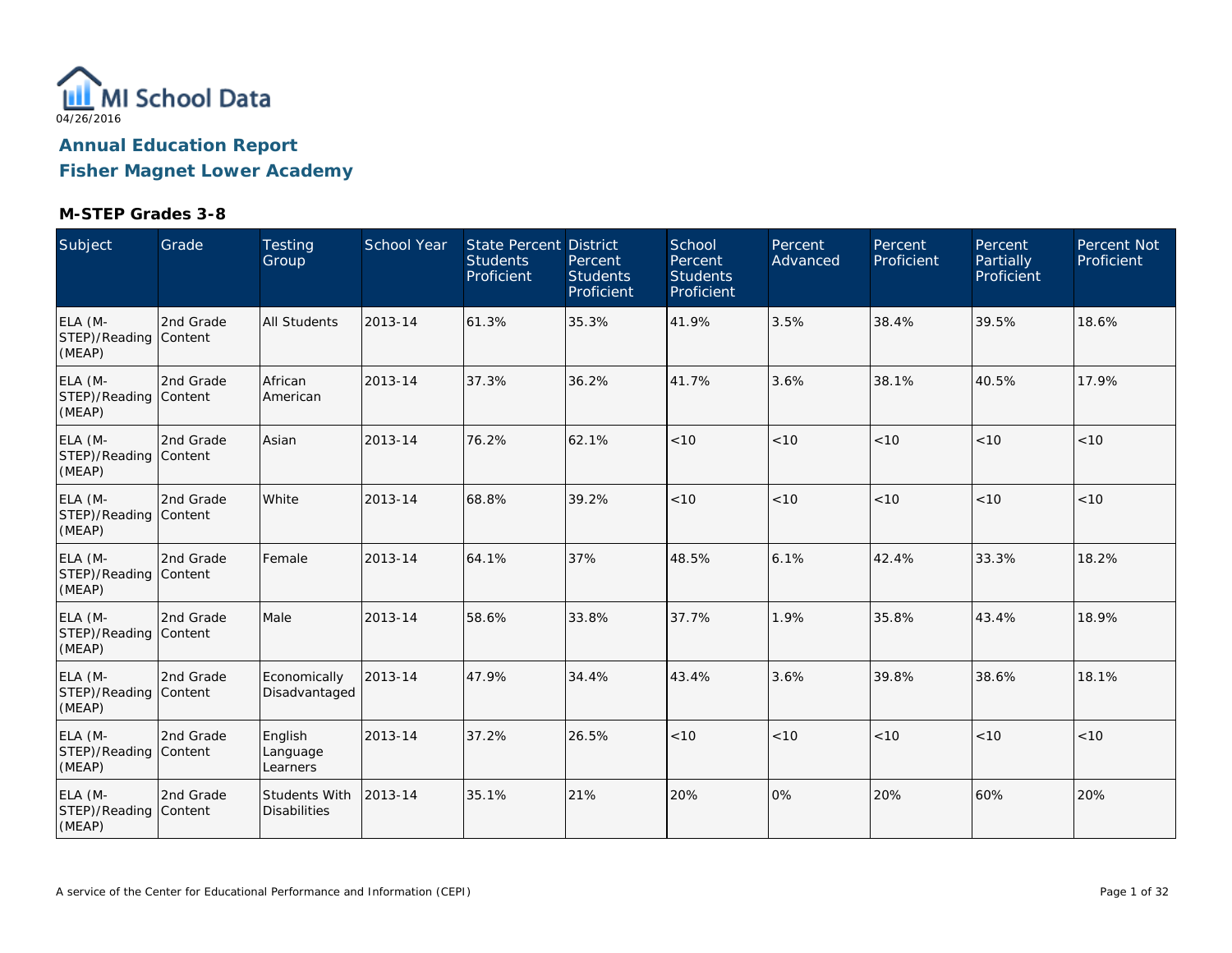

**Fisher Magnet Lower Academy**

| Subject                                    | Grade     | <b>Testing</b><br>Group              | <b>School Year</b> | <b>State Percent District</b><br><b>Students</b><br>Proficient | Percent<br><b>Students</b><br>Proficient | School<br>Percent<br><b>Students</b><br>Proficient | Percent<br>Advanced | Percent<br>Proficient | Percent<br><b>Partially</b><br>Proficient | <b>Percent Not</b><br>Proficient |
|--------------------------------------------|-----------|--------------------------------------|--------------------|----------------------------------------------------------------|------------------------------------------|----------------------------------------------------|---------------------|-----------------------|-------------------------------------------|----------------------------------|
| ELA (M-<br>STEP)/Reading Content<br>(MEAP) | 2nd Grade | <b>All Students</b>                  | 2013-14            | 61.3%                                                          | 35.3%                                    | 41.9%                                              | 3.5%                | 38.4%                 | 39.5%                                     | 18.6%                            |
| ELA (M-<br>STEP)/Reading Content<br>(MEAP) | 2nd Grade | African<br>American                  | 2013-14            | 37.3%                                                          | 36.2%                                    | 41.7%                                              | 3.6%                | 38.1%                 | 40.5%                                     | 17.9%                            |
| ELA (M-<br>STEP)/Reading Content<br>(MEAP) | 2nd Grade | Asian                                | 2013-14            | 76.2%                                                          | 62.1%                                    | < 10                                               | < 10                | < 10                  | < 10                                      | < 10                             |
| ELA (M-<br>STEP)/Reading Content<br>(MEAP) | 2nd Grade | White                                | 2013-14            | 68.8%                                                          | 39.2%                                    | < 10                                               | < 10                | < 10                  | < 10                                      | $<10$                            |
| ELA (M-<br>STEP)/Reading Content<br>(MEAP) | 2nd Grade | Female                               | 2013-14            | 64.1%                                                          | 37%                                      | 48.5%                                              | 6.1%                | 42.4%                 | 33.3%                                     | 18.2%                            |
| ELA (M-<br>STEP)/Reading Content<br>(MEAP) | 2nd Grade | Male                                 | 2013-14            | 58.6%                                                          | 33.8%                                    | 37.7%                                              | 1.9%                | 35.8%                 | 43.4%                                     | 18.9%                            |
| ELA (M-<br>STEP)/Reading Content<br>(MEAP) | 2nd Grade | Economically<br>Disadvantaged        | 2013-14            | 47.9%                                                          | 34.4%                                    | 43.4%                                              | 3.6%                | 39.8%                 | 38.6%                                     | 18.1%                            |
| ELA (M-<br>STEP)/Reading Content<br>(MEAP) | 2nd Grade | English<br>Language<br>Learners      | 2013-14            | 37.2%                                                          | 26.5%                                    | < 10                                               | < 10                | < 10                  | < 10                                      | < 10                             |
| ELA (M-<br>STEP)/Reading Content<br>(MEAP) | 2nd Grade | Students With<br><b>Disabilities</b> | 2013-14            | 35.1%                                                          | 21%                                      | 20%                                                | 0%                  | 20%                   | 60%                                       | 20%                              |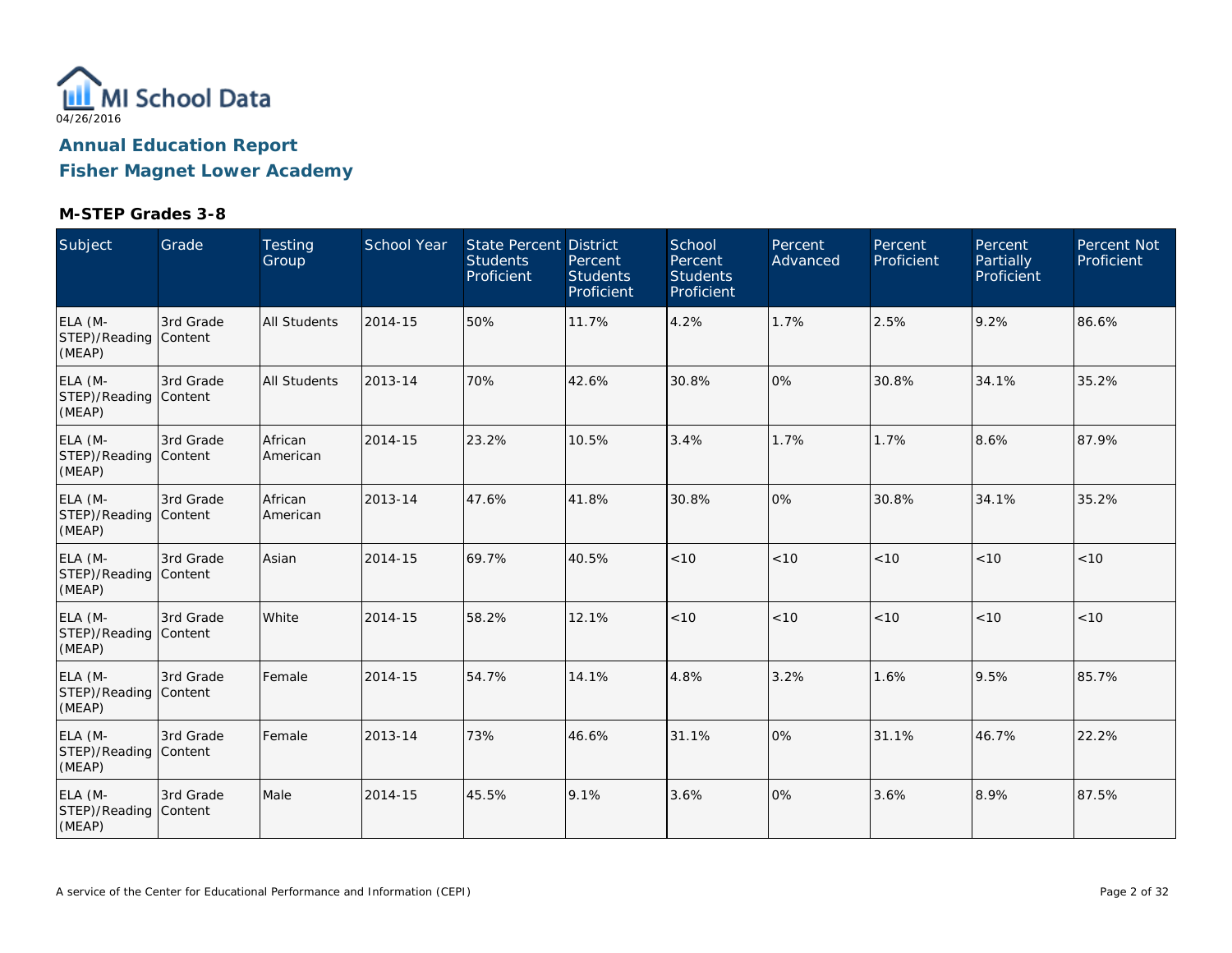

**Fisher Magnet Lower Academy**

| Subject                                    | Grade     | <b>Testing</b><br>Group | <b>School Year</b> | <b>State Percent District</b><br><b>Students</b><br>Proficient | Percent<br><b>Students</b><br>Proficient | School<br>Percent<br><b>Students</b><br>Proficient | Percent<br>Advanced | Percent<br>Proficient | Percent<br><b>Partially</b><br>Proficient | <b>Percent Not</b><br>Proficient |
|--------------------------------------------|-----------|-------------------------|--------------------|----------------------------------------------------------------|------------------------------------------|----------------------------------------------------|---------------------|-----------------------|-------------------------------------------|----------------------------------|
| ELA (M-<br>STEP)/Reading Content<br>(MEAP) | 3rd Grade | <b>All Students</b>     | 2014-15            | 50%                                                            | 11.7%                                    | 4.2%                                               | 1.7%                | 2.5%                  | 9.2%                                      | 86.6%                            |
| ELA (M-<br>STEP)/Reading Content<br>(MEAP) | 3rd Grade | <b>All Students</b>     | 2013-14            | 70%                                                            | 42.6%                                    | 30.8%                                              | 0%                  | 30.8%                 | 34.1%                                     | 35.2%                            |
| ELA (M-<br>STEP)/Reading Content<br>(MEAP) | 3rd Grade | African<br>American     | 2014-15            | 23.2%                                                          | 10.5%                                    | 3.4%                                               | 1.7%                | 1.7%                  | 8.6%                                      | 87.9%                            |
| ELA (M-<br>STEP)/Reading Content<br>(MEAP) | 3rd Grade | African<br>American     | 2013-14            | 47.6%                                                          | 41.8%                                    | 30.8%                                              | 0%                  | 30.8%                 | 34.1%                                     | 35.2%                            |
| ELA (M-<br>STEP)/Reading Content<br>(MEAP) | 3rd Grade | Asian                   | 2014-15            | 69.7%                                                          | 40.5%                                    | < 10                                               | < 10                | < 10                  | < 10                                      | < 10                             |
| ELA (M-<br>STEP)/Reading Content<br>(MEAP) | 3rd Grade | White                   | 2014-15            | 58.2%                                                          | 12.1%                                    | < 10                                               | < 10                | < 10                  | < 10                                      | < 10                             |
| ELA (M-<br>STEP)/Reading Content<br>(MEAP) | 3rd Grade | Female                  | 2014-15            | 54.7%                                                          | 14.1%                                    | 4.8%                                               | 3.2%                | 1.6%                  | 9.5%                                      | 85.7%                            |
| ELA (M-<br>STEP)/Reading Content<br>(MEAP) | 3rd Grade | Female                  | 2013-14            | 73%                                                            | 46.6%                                    | 31.1%                                              | 0%                  | 31.1%                 | 46.7%                                     | 22.2%                            |
| ELA (M-<br>STEP)/Reading Content<br>(MEAP) | 3rd Grade | Male                    | 2014-15            | 45.5%                                                          | 9.1%                                     | 3.6%                                               | 0%                  | 3.6%                  | 8.9%                                      | 87.5%                            |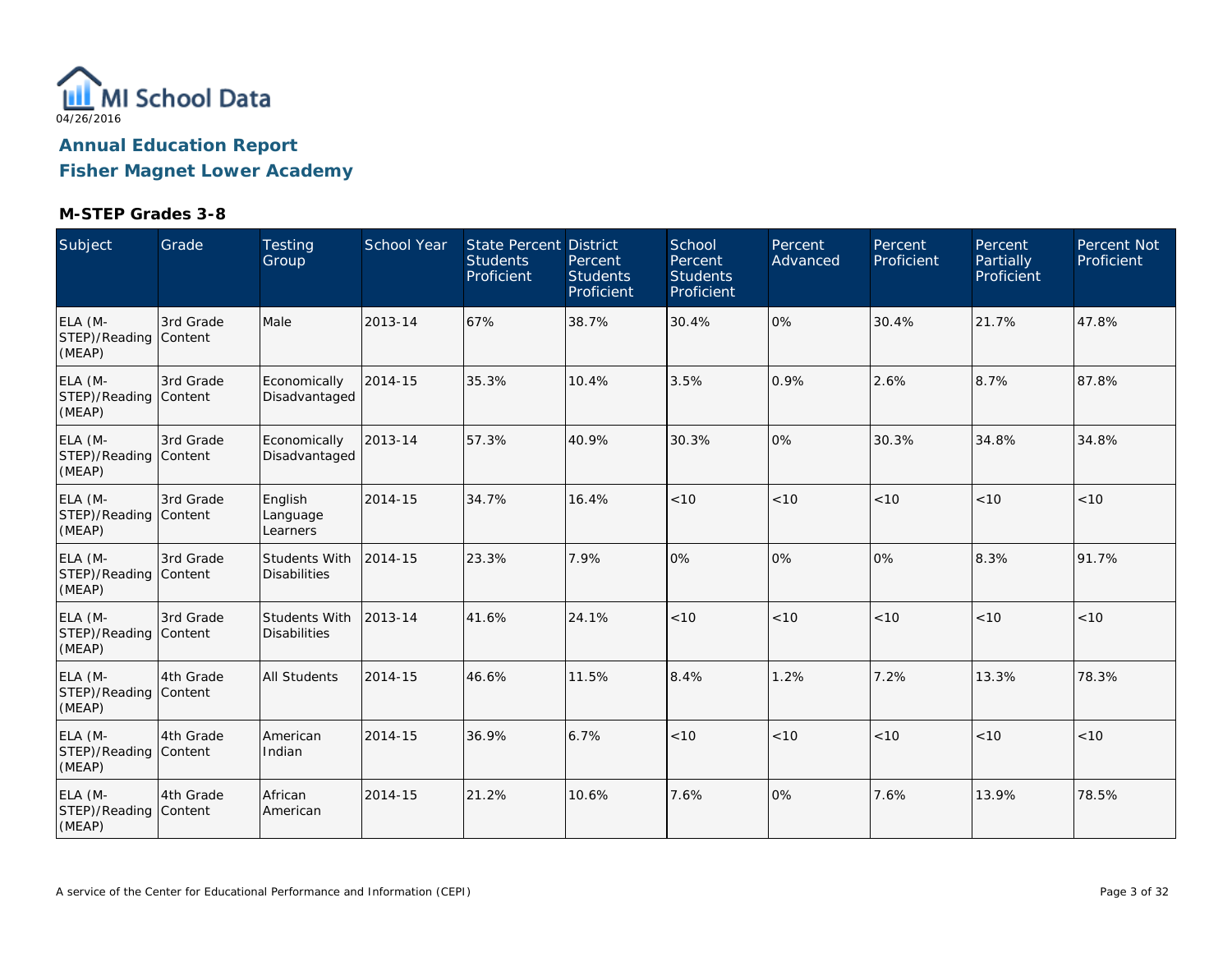

**Fisher Magnet Lower Academy**

| Subject                                    | Grade     | <b>Testing</b><br>Group              | School Year | <b>State Percent District</b><br><b>Students</b><br>Proficient | Percent<br><b>Students</b><br>Proficient | School<br>Percent<br><b>Students</b><br>Proficient | Percent<br>Advanced | Percent<br>Proficient | Percent<br>Partially<br>Proficient | <b>Percent Not</b><br>Proficient |
|--------------------------------------------|-----------|--------------------------------------|-------------|----------------------------------------------------------------|------------------------------------------|----------------------------------------------------|---------------------|-----------------------|------------------------------------|----------------------------------|
| ELA (M-<br>STEP)/Reading Content<br>(MEAP) | 3rd Grade | Male                                 | 2013-14     | 67%                                                            | 38.7%                                    | 30.4%                                              | 0%                  | 30.4%                 | 21.7%                              | 47.8%                            |
| ELA (M-<br>STEP)/Reading Content<br>(MEAP) | 3rd Grade | Economically<br>Disadvantaged        | 2014-15     | 35.3%                                                          | 10.4%                                    | 3.5%                                               | 0.9%                | 2.6%                  | 8.7%                               | 87.8%                            |
| ELA (M-<br>STEP)/Reading Content<br>(MEAP) | 3rd Grade | Economically<br>Disadvantaged        | 2013-14     | 57.3%                                                          | 40.9%                                    | 30.3%                                              | 0%                  | 30.3%                 | 34.8%                              | 34.8%                            |
| ELA (M-<br>STEP)/Reading Content<br>(MEAP) | 3rd Grade | English<br>Language<br>Learners      | 2014-15     | 34.7%                                                          | 16.4%                                    | < 10                                               | < 10                | < 10                  | < 10                               | < 10                             |
| ELA (M-<br>STEP)/Reading Content<br>(MEAP) | 3rd Grade | Students With<br><b>Disabilities</b> | 2014-15     | 23.3%                                                          | 7.9%                                     | 0%                                                 | 0%                  | 0%                    | 8.3%                               | 91.7%                            |
| ELA (M-<br>STEP)/Reading Content<br>(MEAP) | 3rd Grade | Students With<br><b>Disabilities</b> | 2013-14     | 41.6%                                                          | 24.1%                                    | < 10                                               | < 10                | < 10                  | < 10                               | < 10                             |
| ELA (M-<br>STEP)/Reading Content<br>(MEAP) | 4th Grade | <b>All Students</b>                  | 2014-15     | 46.6%                                                          | 11.5%                                    | 8.4%                                               | 1.2%                | 7.2%                  | 13.3%                              | 78.3%                            |
| ELA (M-<br>STEP)/Reading Content<br>(MEAP) | 4th Grade | American<br>Indian                   | 2014-15     | 36.9%                                                          | 6.7%                                     | < 10                                               | < 10                | < 10                  | < 10                               | < 10                             |
| ELA (M-<br>STEP)/Reading Content<br>(MEAP) | 4th Grade | African<br>American                  | 2014-15     | 21.2%                                                          | 10.6%                                    | 7.6%                                               | 0%                  | 7.6%                  | 13.9%                              | 78.5%                            |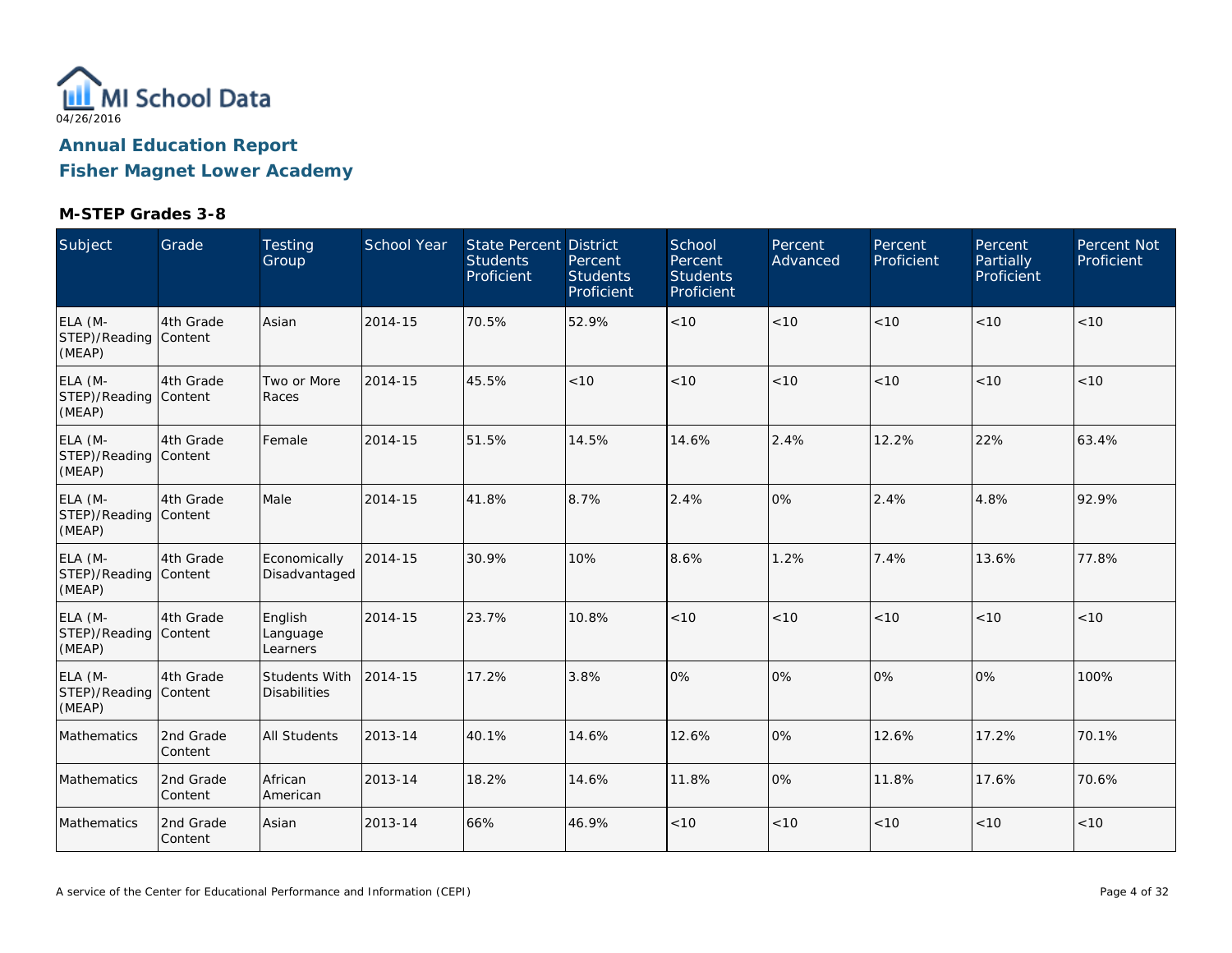

**Fisher Magnet Lower Academy**

| Subject                                    | Grade                | <b>Testing</b><br>Group              | <b>School Year</b> | State Percent District<br><b>Students</b><br>Proficient | Percent<br><b>Students</b><br>Proficient | School<br>Percent<br><b>Students</b><br>Proficient | Percent<br>Advanced | Percent<br>Proficient | Percent<br>Partially<br>Proficient <sup>'</sup> | Percent Not<br>Proficient |
|--------------------------------------------|----------------------|--------------------------------------|--------------------|---------------------------------------------------------|------------------------------------------|----------------------------------------------------|---------------------|-----------------------|-------------------------------------------------|---------------------------|
| ELA (M-<br>STEP)/Reading Content<br>(MEAP) | 4th Grade            | Asian                                | 2014-15            | 70.5%                                                   | 52.9%                                    | $<10$                                              | < 10                | < 10                  | $<10$                                           | <10                       |
| ELA (M-<br>STEP)/Reading Content<br>(MEAP) | 4th Grade            | Two or More<br>Races                 | 2014-15            | 45.5%                                                   | < 10                                     | < 10                                               | < 10                | < 10                  | < 10                                            | < 10                      |
| ELA (M-<br>STEP)/Reading Content<br>(MEAP) | 4th Grade            | Female                               | 2014-15            | 51.5%                                                   | 14.5%                                    | 14.6%                                              | 2.4%                | 12.2%                 | 22%                                             | 63.4%                     |
| ELA (M-<br>STEP)/Reading Content<br>(MEAP) | 4th Grade            | Male                                 | 2014-15            | 41.8%                                                   | 8.7%                                     | 2.4%                                               | 0%                  | 2.4%                  | 4.8%                                            | 92.9%                     |
| ELA (M-<br>STEP)/Reading Content<br>(MEAP) | 4th Grade            | Economically<br>Disadvantaged        | 2014-15            | 30.9%                                                   | 10%                                      | 8.6%                                               | 1.2%                | 7.4%                  | 13.6%                                           | 77.8%                     |
| ELA (M-<br>STEP)/Reading Content<br>(MEAP) | 4th Grade            | English<br>Language<br>Learners      | 2014-15            | 23.7%                                                   | 10.8%                                    | < 10                                               | < 10                | < 10                  | < 10                                            | $<10$                     |
| ELA (M-<br>STEP)/Reading Content<br>(MEAP) | 4th Grade            | Students With<br><b>Disabilities</b> | 2014-15            | 17.2%                                                   | 3.8%                                     | 0%                                                 | 0%                  | 0%                    | 0%                                              | 100%                      |
| Mathematics                                | 2nd Grade<br>Content | <b>All Students</b>                  | 2013-14            | 40.1%                                                   | 14.6%                                    | 12.6%                                              | 0%                  | 12.6%                 | 17.2%                                           | 70.1%                     |
| Mathematics                                | 2nd Grade<br>Content | African<br>American                  | 2013-14            | 18.2%                                                   | 14.6%                                    | 11.8%                                              | 0%                  | 11.8%                 | 17.6%                                           | 70.6%                     |
| Mathematics                                | 2nd Grade<br>Content | Asian                                | 2013-14            | 66%                                                     | 46.9%                                    | < 10                                               | < 10                | < 10                  | < 10                                            | < 10                      |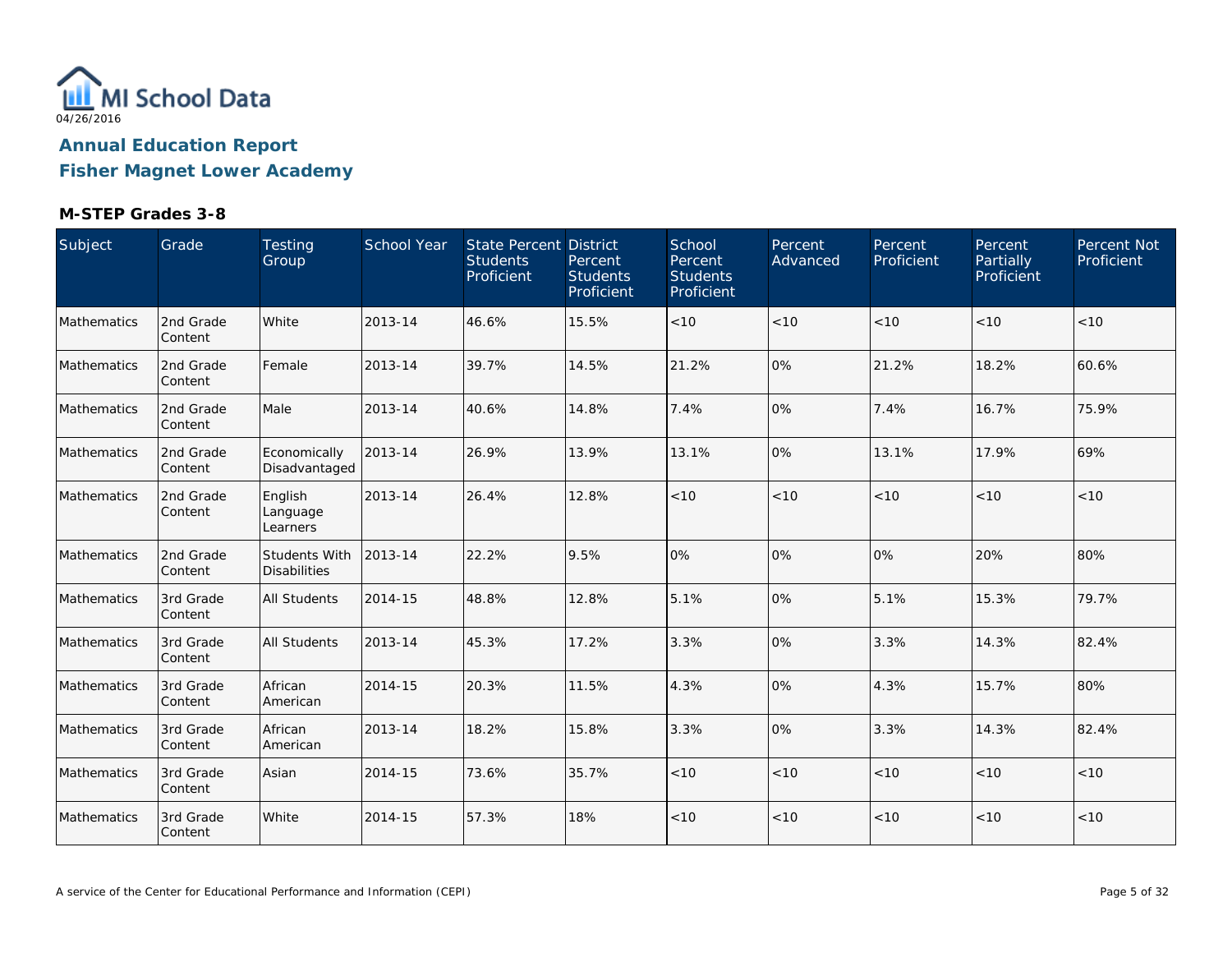

**Fisher Magnet Lower Academy**

| Subject     | Grade                | Testing<br>Group                            | School Year | State Percent District<br><b>Students</b><br>Proficient | Percent<br><b>Students</b><br>Proficient | School<br>Percent<br><b>Students</b><br>Proficient | Percent<br>Advanced | Percent<br>Proficient | Percent<br>Partially<br>Proficient | Percent Not<br>Proficient |
|-------------|----------------------|---------------------------------------------|-------------|---------------------------------------------------------|------------------------------------------|----------------------------------------------------|---------------------|-----------------------|------------------------------------|---------------------------|
| Mathematics | 2nd Grade<br>Content | White                                       | 2013-14     | 46.6%                                                   | 15.5%                                    | < 10                                               | < 10                | < 10                  | < 10                               | <10                       |
| Mathematics | 2nd Grade<br>Content | Female                                      | 2013-14     | 39.7%                                                   | 14.5%                                    | 21.2%                                              | 0%                  | 21.2%                 | 18.2%                              | 60.6%                     |
| Mathematics | 2nd Grade<br>Content | Male                                        | 2013-14     | 40.6%                                                   | 14.8%                                    | 7.4%                                               | 0%                  | 7.4%                  | 16.7%                              | 75.9%                     |
| Mathematics | 2nd Grade<br>Content | Economically<br>Disadvantaged               | 2013-14     | 26.9%                                                   | 13.9%                                    | 13.1%                                              | 0%                  | 13.1%                 | 17.9%                              | 69%                       |
| Mathematics | 2nd Grade<br>Content | English<br>Language<br>Learners             | 2013-14     | 26.4%                                                   | 12.8%                                    | < 10                                               | < 10                | < 10                  | < 10                               | < 10                      |
| Mathematics | 2nd Grade<br>Content | <b>Students With</b><br><b>Disabilities</b> | 2013-14     | 22.2%                                                   | 9.5%                                     | 0%                                                 | 0%                  | 0%                    | 20%                                | 80%                       |
| Mathematics | 3rd Grade<br>Content | All Students                                | 2014-15     | 48.8%                                                   | 12.8%                                    | 5.1%                                               | 0%                  | 5.1%                  | 15.3%                              | 79.7%                     |
| Mathematics | 3rd Grade<br>Content | All Students                                | 2013-14     | 45.3%                                                   | 17.2%                                    | 3.3%                                               | 0%                  | 3.3%                  | 14.3%                              | 82.4%                     |
| Mathematics | 3rd Grade<br>Content | African<br>American                         | 2014-15     | 20.3%                                                   | 11.5%                                    | 4.3%                                               | 0%                  | 4.3%                  | 15.7%                              | 80%                       |
| Mathematics | 3rd Grade<br>Content | African<br>American                         | 2013-14     | 18.2%                                                   | 15.8%                                    | 3.3%                                               | 0%                  | 3.3%                  | 14.3%                              | 82.4%                     |
| Mathematics | 3rd Grade<br>Content | Asian                                       | 2014-15     | 73.6%                                                   | 35.7%                                    | $<10$                                              | $<10$               | $<10$                 | < 10                               | $<10$                     |
| Mathematics | 3rd Grade<br>Content | White                                       | 2014-15     | 57.3%                                                   | 18%                                      | $<10$                                              | $<10$               | $<10$                 | < 10                               | $<10$                     |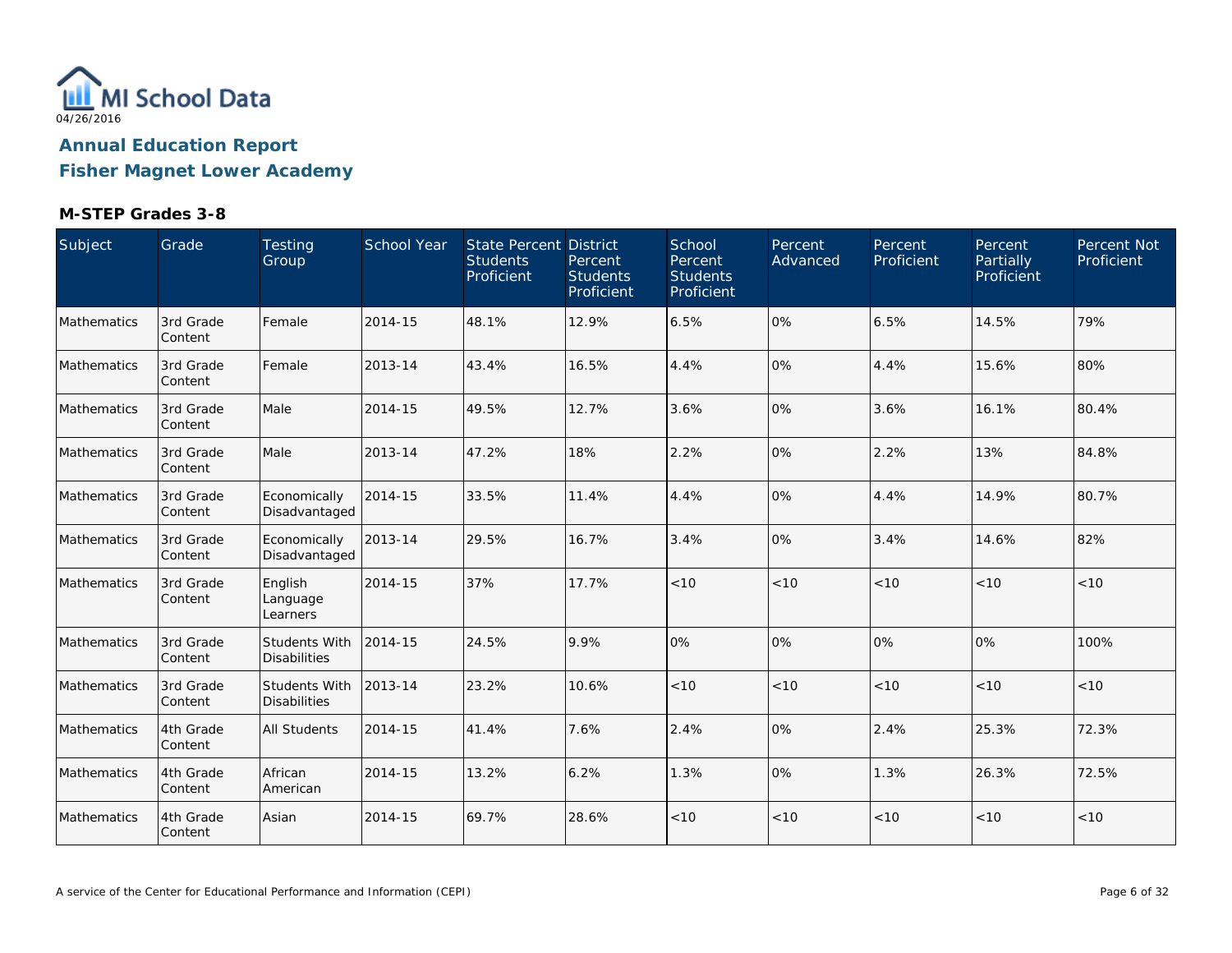

**Fisher Magnet Lower Academy**

| Subject     | Grade                | Testing<br>Group                            | School Year | State Percent District<br><b>Students</b><br>Proficient | Percent<br><b>Students</b><br>Proficient | School<br>Percent<br><b>Students</b><br>Proficient | Percent<br>Advanced | Percent<br>Proficient | Percent<br>Partially<br>Proficient | Percent Not<br>Proficient |
|-------------|----------------------|---------------------------------------------|-------------|---------------------------------------------------------|------------------------------------------|----------------------------------------------------|---------------------|-----------------------|------------------------------------|---------------------------|
| Mathematics | 3rd Grade<br>Content | Female                                      | 2014-15     | 48.1%                                                   | 12.9%                                    | 6.5%                                               | 0%                  | 6.5%                  | 14.5%                              | 79%                       |
| Mathematics | 3rd Grade<br>Content | Female                                      | 2013-14     | 43.4%                                                   | 16.5%                                    | 4.4%                                               | 0%                  | 4.4%                  | 15.6%                              | 80%                       |
| Mathematics | 3rd Grade<br>Content | Male                                        | 2014-15     | 49.5%                                                   | 12.7%                                    | 3.6%                                               | 0%                  | 3.6%                  | 16.1%                              | 80.4%                     |
| Mathematics | 3rd Grade<br>Content | Male                                        | 2013-14     | 47.2%                                                   | 18%                                      | 2.2%                                               | 0%                  | 2.2%                  | 13%                                | 84.8%                     |
| Mathematics | 3rd Grade<br>Content | Economically<br>Disadvantaged               | 2014-15     | 33.5%                                                   | 11.4%                                    | 4.4%                                               | 0%                  | 4.4%                  | 14.9%                              | 80.7%                     |
| Mathematics | 3rd Grade<br>Content | Economically<br>Disadvantaged               | 2013-14     | 29.5%                                                   | 16.7%                                    | 3.4%                                               | 0%                  | 3.4%                  | 14.6%                              | 82%                       |
| Mathematics | 3rd Grade<br>Content | English<br>Language<br>Learners             | 2014-15     | 37%                                                     | 17.7%                                    | < 10                                               | < 10                | < 10                  | < 10                               | < 10                      |
| Mathematics | 3rd Grade<br>Content | <b>Students With</b><br><b>Disabilities</b> | 2014-15     | 24.5%                                                   | 9.9%                                     | 0%                                                 | 0%                  | 0%                    | 0%                                 | 100%                      |
| Mathematics | 3rd Grade<br>Content | <b>Students With</b><br><b>Disabilities</b> | 2013-14     | 23.2%                                                   | 10.6%                                    | < 10                                               | < 10                | < 10                  | < 10                               | < 10                      |
| Mathematics | 4th Grade<br>Content | <b>All Students</b>                         | 2014-15     | 41.4%                                                   | 7.6%                                     | 2.4%                                               | 0%                  | 2.4%                  | 25.3%                              | 72.3%                     |
| Mathematics | 4th Grade<br>Content | African<br>American                         | 2014-15     | 13.2%                                                   | 6.2%                                     | 1.3%                                               | 0%                  | 1.3%                  | 26.3%                              | 72.5%                     |
| Mathematics | 4th Grade<br>Content | Asian                                       | 2014-15     | 69.7%                                                   | 28.6%                                    | $<10$                                              | < 10                | < 10                  | < 10                               | < 10                      |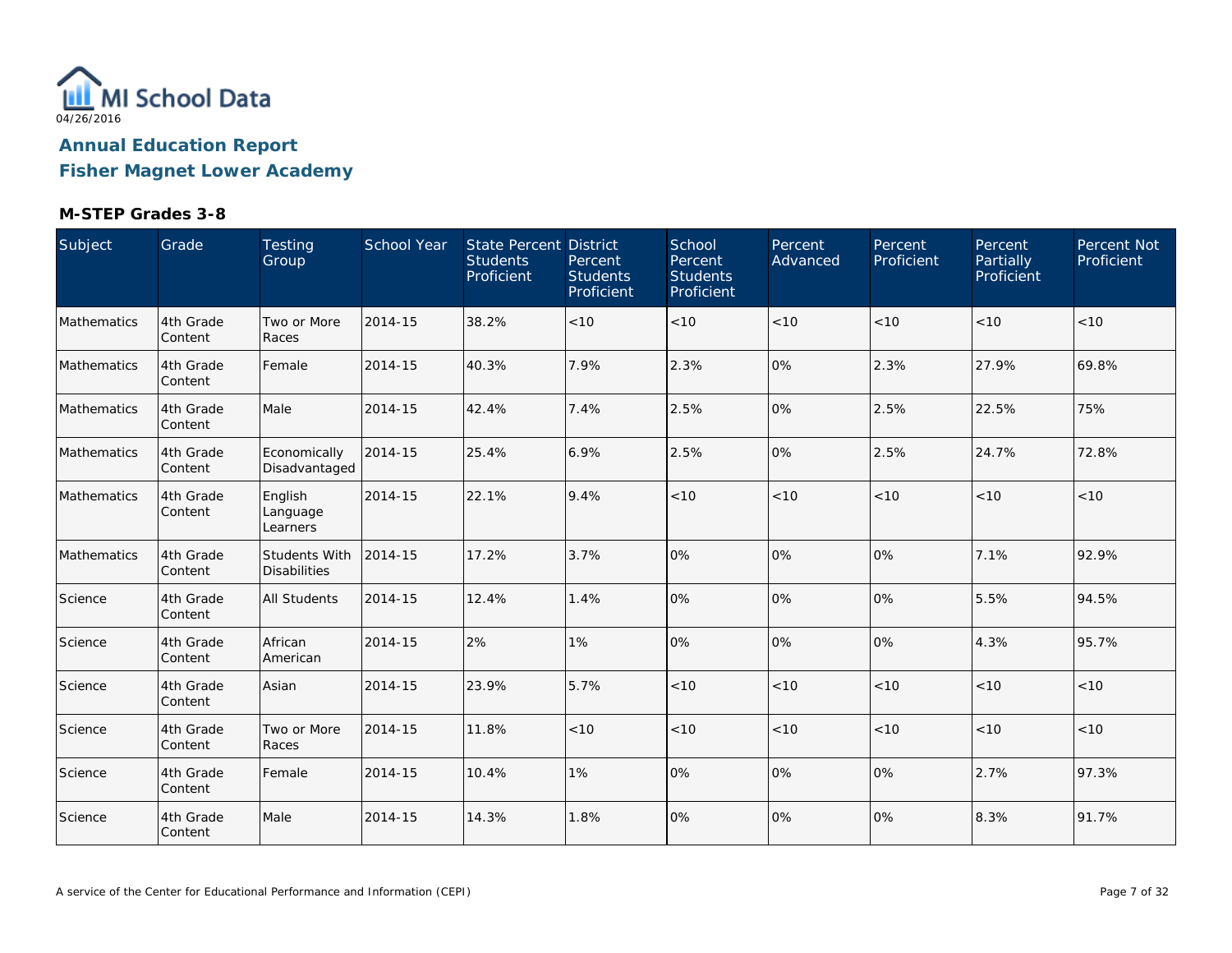

**Fisher Magnet Lower Academy**

| Subject            | Grade                 | Testing<br>Group                            | School Year | <b>State Percent District</b><br><b>Students</b><br>Proficient | Percent<br><b>Students</b><br>Proficient | School<br>Percent<br><b>Students</b><br>Proficient | Percent<br>Advanced | Percent<br>Proficient | Percent<br>Partially<br>Proficient | Percent Not<br>Proficient |
|--------------------|-----------------------|---------------------------------------------|-------------|----------------------------------------------------------------|------------------------------------------|----------------------------------------------------|---------------------|-----------------------|------------------------------------|---------------------------|
| Mathematics        | 4th Grade<br>Content  | Two or More<br>Races                        | 2014-15     | 38.2%                                                          | < 10                                     | < 10                                               | < 10                | < 10                  | < 10                               | <10                       |
| Mathematics        | 4th Grade<br>Content  | Female                                      | 2014-15     | 40.3%                                                          | 7.9%                                     | 2.3%                                               | 0%                  | 2.3%                  | 27.9%                              | 69.8%                     |
| Mathematics        | 4th Grade<br>Content  | Male                                        | 2014-15     | 42.4%                                                          | 7.4%                                     | 2.5%                                               | 0%                  | 2.5%                  | 22.5%                              | 75%                       |
| Mathematics        | 4th Grade<br>Content  | Economically<br>Disadvantaged               | 2014-15     | 25.4%                                                          | 6.9%                                     | 2.5%                                               | 0%                  | 2.5%                  | 24.7%                              | 72.8%                     |
| <b>Mathematics</b> | 4th Grade<br>Content  | English<br>Language<br>Learners             | 2014-15     | 22.1%                                                          | 9.4%                                     | < 10                                               | < 10                | < 10                  | < 10                               | < 10                      |
| Mathematics        | 4th Grade<br>Content  | <b>Students With</b><br><b>Disabilities</b> | 2014-15     | 17.2%                                                          | 3.7%                                     | 0%                                                 | 0%                  | 0%                    | 7.1%                               | 92.9%                     |
| Science            | 4th Grade<br>Content  | All Students                                | 2014-15     | 12.4%                                                          | 1.4%                                     | 0%                                                 | 0%                  | 0%                    | 5.5%                               | 94.5%                     |
| Science            | 4th Grade<br>Content  | African<br>American                         | 2014-15     | 2%                                                             | 1%                                       | 0%                                                 | 0%                  | 0%                    | 4.3%                               | 95.7%                     |
| Science            | 4th Grade<br>Content  | Asian                                       | 2014-15     | 23.9%                                                          | 5.7%                                     | < 10                                               | < 10                | < 10                  | < 10                               | < 10                      |
| Science            | 4th Grade<br>Content  | Two or More<br>Races                        | 2014-15     | 11.8%                                                          | < 10                                     | $<10$                                              | $<10$               | < 10                  | < 10                               | < 10                      |
| Science            | 4th Grade<br>Content  | Female                                      | 2014-15     | 10.4%                                                          | 1%                                       | 0%                                                 | 0%                  | 0%                    | 2.7%                               | 97.3%                     |
| Science            | 4th Grade<br> Content | Male                                        | 2014-15     | 14.3%                                                          | 1.8%                                     | 0%                                                 | 0%                  | 0%                    | 8.3%                               | 91.7%                     |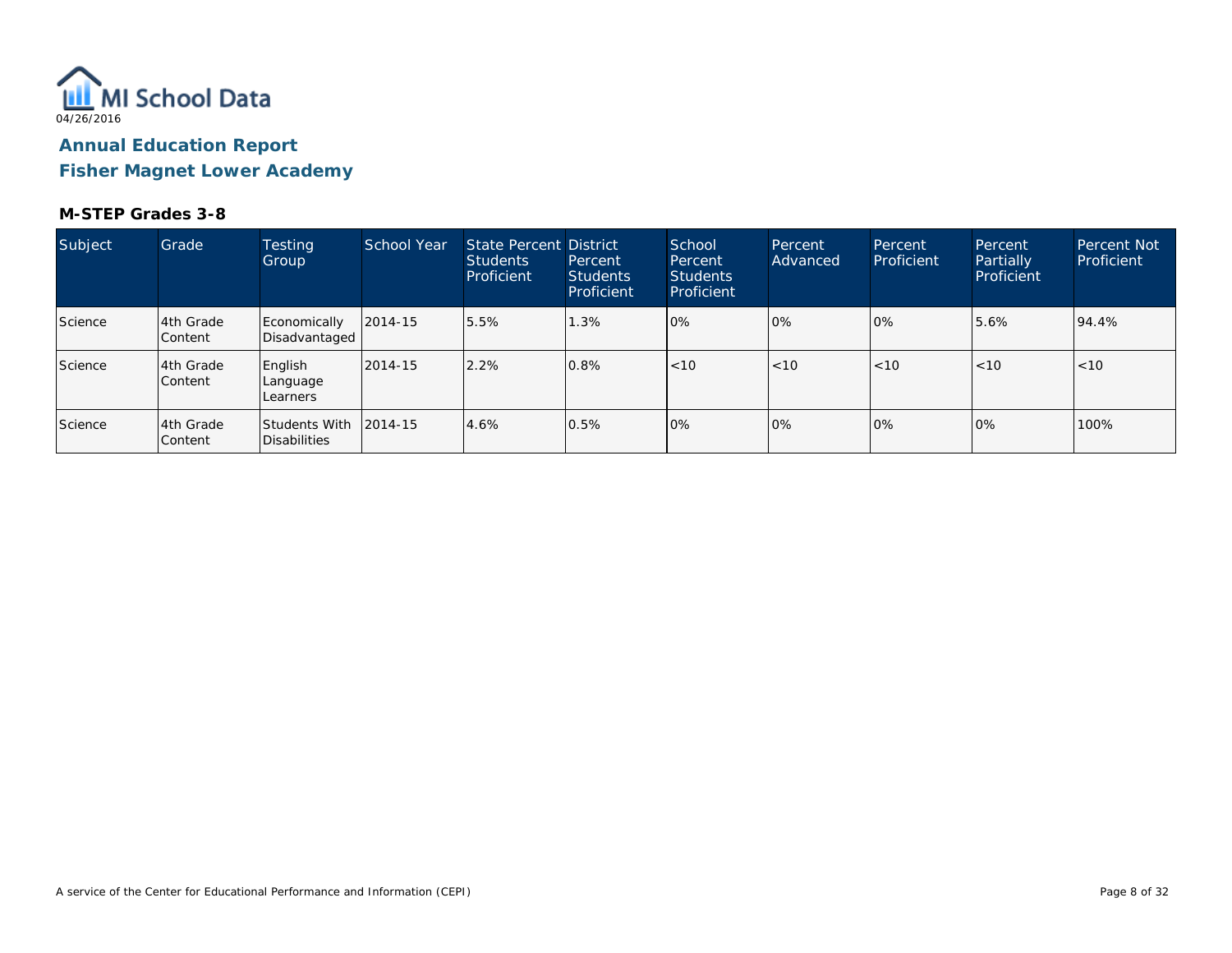

**Fisher Magnet Lower Academy**

| Subject | Grade                        | <b>Testing</b><br>Group              | School Year  | State Percent District<br><b>Students</b><br>Proficient | Percent<br><b>Students</b><br>Proficient | School<br>Percent<br><b>Students</b><br>Proficient | Percent<br>Advanced | Percent<br>Proficient | Percent<br>Partially<br>Proficient | <b>Percent Not</b><br>Proficient |
|---------|------------------------------|--------------------------------------|--------------|---------------------------------------------------------|------------------------------------------|----------------------------------------------------|---------------------|-----------------------|------------------------------------|----------------------------------|
| Science | 4th Grade<br><b>Content</b>  | Economically<br>Disadvantaged        | $12014 - 15$ | 5.5%                                                    | 1.3%                                     | 0%                                                 | 0%                  | $ 0\%$                | 5.6%                               | 94.4%                            |
| Science | l4th Grade<br><b>Content</b> | English<br>Language<br>Learners      | 2014-15      | 2.2%                                                    | 0.8%                                     | < 10                                               | < 10                | < 10                  | < 10                               | < 10                             |
| Science | l4th Grade<br><b>Content</b> | <b>Students With</b><br>Disabilities | 2014-15      | 4.6%                                                    | 0.5%                                     | 0%                                                 | 0%                  | 0%                    | 0%                                 | 100%                             |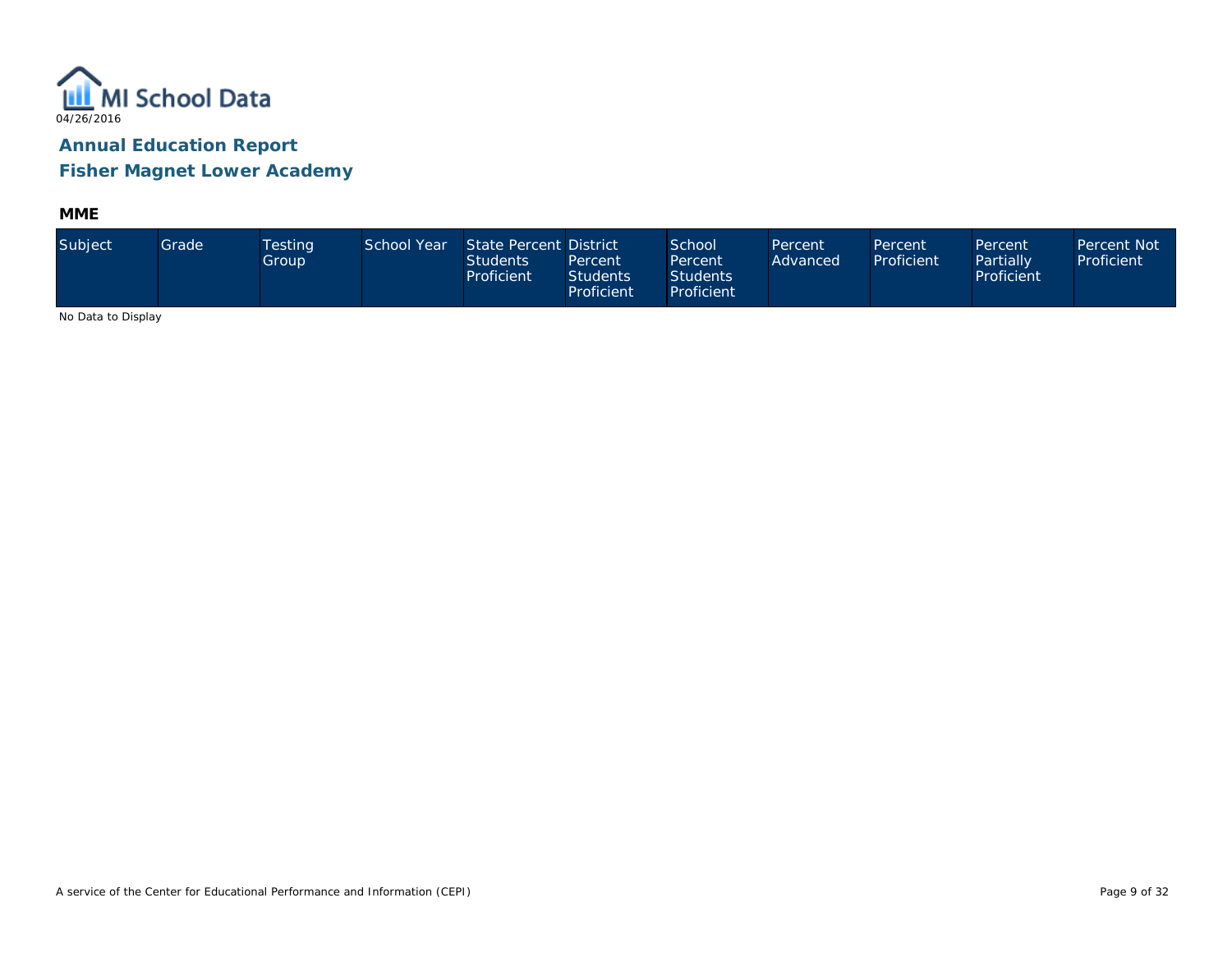

**Fisher Magnet Lower Academy**

**MME**

| Subject                    | Grade | <b>Testing</b><br>Group | School Year | State Percent District<br>Students<br>Proficient | Percent<br><b>Students</b><br>Proficient | School<br>Percent<br><b>Students</b><br>Proficient | Percent<br>Advanced | Percent<br>Proficient | Percent<br>Partially<br>Proficient | Percent Not<br>Proficient |
|----------------------------|-------|-------------------------|-------------|--------------------------------------------------|------------------------------------------|----------------------------------------------------|---------------------|-----------------------|------------------------------------|---------------------------|
| $\cdots$ $\cdots$ $\cdots$ |       |                         |             |                                                  |                                          |                                                    |                     |                       |                                    |                           |

No Data to Display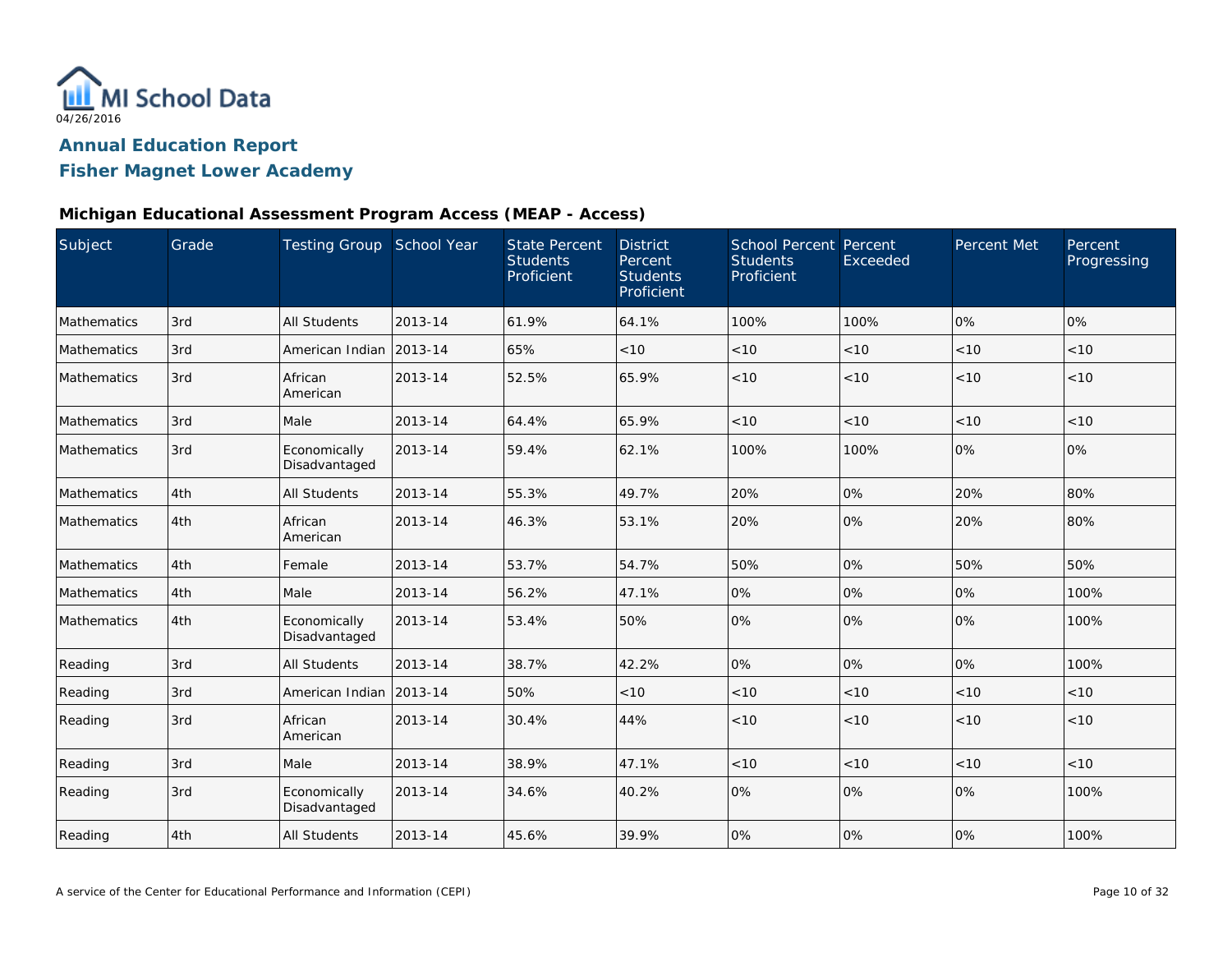

# **Fisher Magnet Lower Academy**

#### **Michigan Educational Assessment Program Access (MEAP - Access)**

| Subject     | Grade | Testing Group School Year     |         | <b>State Percent</b><br><b>Students</b><br>Proficient | <b>District</b><br>Percent<br><b>Students</b><br>Proficient | School Percent Percent<br><b>Students</b><br>Proficient | Exceeded | Percent Met | Percent<br>Progressing |
|-------------|-------|-------------------------------|---------|-------------------------------------------------------|-------------------------------------------------------------|---------------------------------------------------------|----------|-------------|------------------------|
| Mathematics | 3rd   | <b>All Students</b>           | 2013-14 | 61.9%                                                 | 64.1%                                                       | 100%                                                    | 100%     | 0%          | 0%                     |
| Mathematics | 3rd   | American Indian               | 2013-14 | 65%                                                   | <10                                                         | < 10                                                    | < 10     | $<10$       | < 10                   |
| Mathematics | 3rd   | African<br>American           | 2013-14 | 52.5%                                                 | 65.9%                                                       | < 10                                                    | < 10     | < 10        | < 10                   |
| Mathematics | 3rd   | Male                          | 2013-14 | 64.4%                                                 | 65.9%                                                       | < 10                                                    | < 10     | < 10        | < 10                   |
| Mathematics | 3rd   | Economically<br>Disadvantaged | 2013-14 | 59.4%                                                 | 62.1%                                                       | 100%                                                    | 100%     | 0%          | 0%                     |
| Mathematics | 4th   | All Students                  | 2013-14 | 55.3%                                                 | 49.7%                                                       | 20%                                                     | 0%       | 20%         | 80%                    |
| Mathematics | 4th   | African<br>American           | 2013-14 | 46.3%                                                 | 53.1%                                                       | 20%                                                     | 0%       | 20%         | 80%                    |
| Mathematics | 4th   | Female                        | 2013-14 | 53.7%                                                 | 54.7%                                                       | 50%                                                     | 0%       | 50%         | 50%                    |
| Mathematics | 4th   | Male                          | 2013-14 | 56.2%                                                 | 47.1%                                                       | 0%                                                      | 0%       | 0%          | 100%                   |
| Mathematics | 4th   | Economically<br>Disadvantaged | 2013-14 | 53.4%                                                 | 50%                                                         | 0%                                                      | 0%       | 0%          | 100%                   |
| Reading     | 3rd   | <b>All Students</b>           | 2013-14 | 38.7%                                                 | 42.2%                                                       | 0%                                                      | 0%       | 0%          | 100%                   |
| Reading     | 3rd   | American Indian               | 2013-14 | 50%                                                   | < 10                                                        | < 10                                                    | < 10     | < 10        | < 10                   |
| Reading     | 3rd   | African<br>American           | 2013-14 | 30.4%                                                 | 44%                                                         | < 10                                                    | < 10     | < 10        | < 10                   |
| Reading     | 3rd   | Male                          | 2013-14 | 38.9%                                                 | 47.1%                                                       | < 10                                                    | $<10$    | < 10        | < 10                   |
| Reading     | 3rd   | Economically<br>Disadvantaged | 2013-14 | 34.6%                                                 | 40.2%                                                       | 0%                                                      | 0%       | 0%          | 100%                   |
| Reading     | 4th   | <b>All Students</b>           | 2013-14 | 45.6%                                                 | 39.9%                                                       | 0%                                                      | 0%       | 0%          | 100%                   |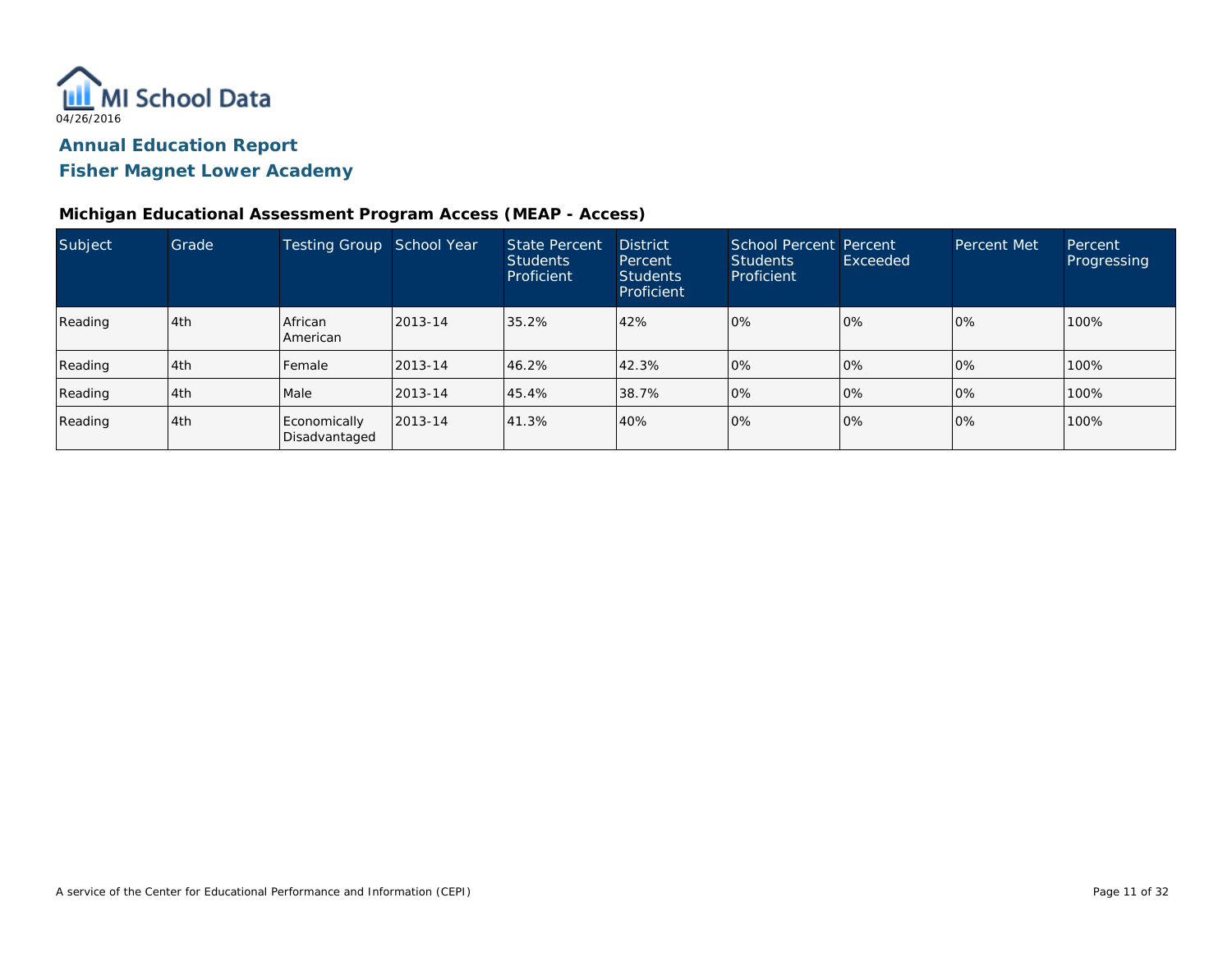

**Fisher Magnet Lower Academy**

#### **Michigan Educational Assessment Program Access (MEAP - Access)**

| Subject | Grade | Testing Group School Year     |         | <b>State Percent</b><br><b>Students</b><br>Proficient | <b>District</b><br>Percent<br><b>Students</b><br>Proficient | School Percent Percent<br><b>Students</b><br>Proficient | Exceeded | Percent Met | Percent<br>Progressing |
|---------|-------|-------------------------------|---------|-------------------------------------------------------|-------------------------------------------------------------|---------------------------------------------------------|----------|-------------|------------------------|
| Reading | l 4th | African<br>American           | 2013-14 | 35.2%                                                 | 42%                                                         | 0%                                                      | 0%       | 0%          | 100%                   |
| Reading | l 4th | Female                        | 2013-14 | 46.2%                                                 | 42.3%                                                       | 0%                                                      | 0%       | 0%          | 100%                   |
| Reading | 4th   | Male                          | 2013-14 | 45.4%                                                 | 38.7%                                                       | 0%                                                      | 0%       | 0%          | 100%                   |
| Reading | 4th   | Economically<br>Disadvantaged | 2013-14 | 41.3%                                                 | 40%                                                         | 0%                                                      | 0%       | 0%          | 100%                   |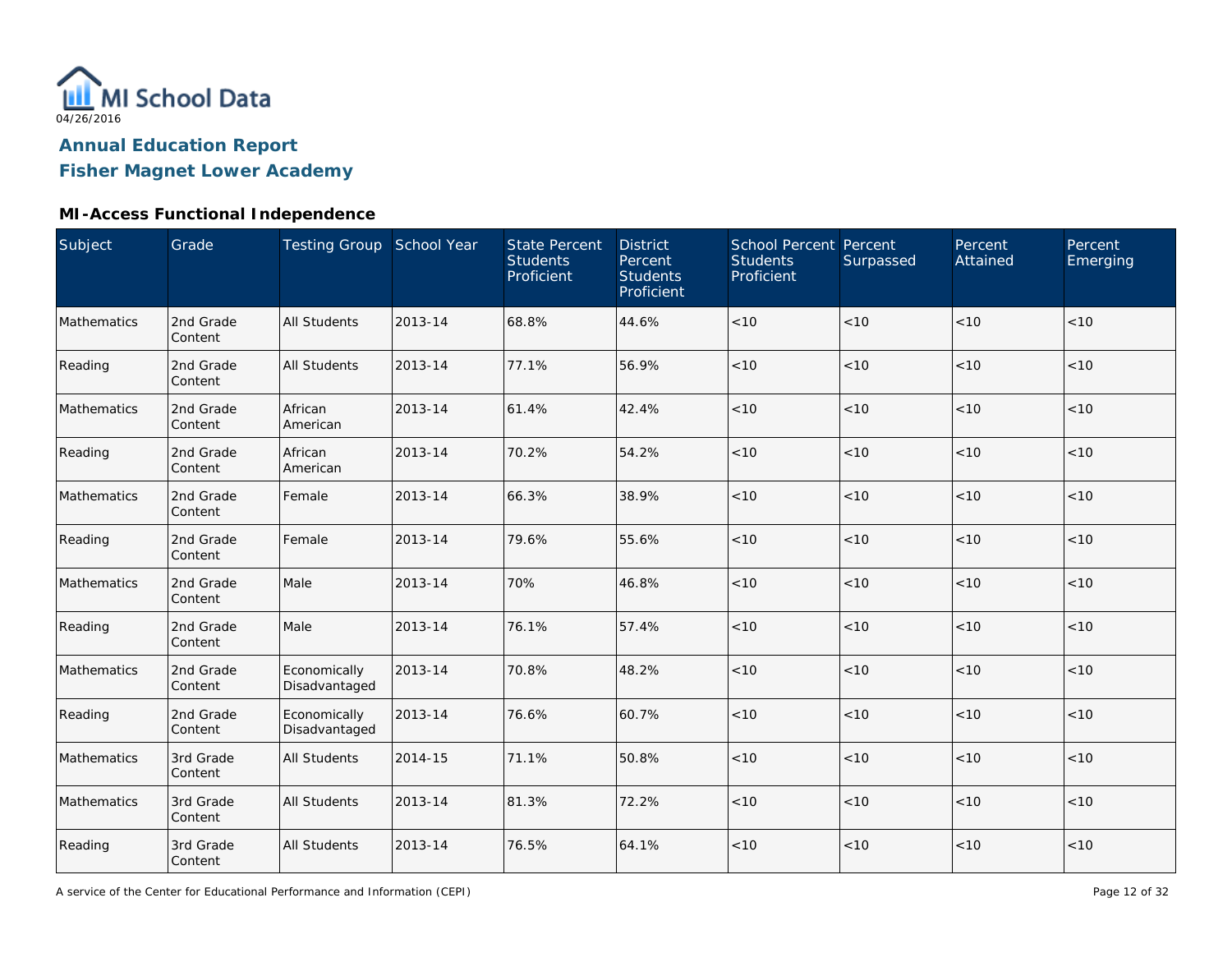

**Fisher Magnet Lower Academy**

# **MI-Access Functional Independence**

| Subject     | Grade                | Testing Group School Year     |         | <b>State Percent</b><br><b>Students</b><br>Proficient | <b>District</b><br>Percent<br><b>Students</b><br>Proficient | <b>School Percent Percent</b><br><b>Students</b><br>Proficient | Surpassed | Percent<br>Attained | Percent<br>Emerging |
|-------------|----------------------|-------------------------------|---------|-------------------------------------------------------|-------------------------------------------------------------|----------------------------------------------------------------|-----------|---------------------|---------------------|
| Mathematics | 2nd Grade<br>Content | <b>All Students</b>           | 2013-14 | 68.8%                                                 | 44.6%                                                       | < 10                                                           | < 10      | < 10                | < 10                |
| Reading     | 2nd Grade<br>Content | <b>All Students</b>           | 2013-14 | 77.1%                                                 | 56.9%                                                       | $<10$                                                          | < 10      | $<10$               | < 10                |
| Mathematics | 2nd Grade<br>Content | African<br>American           | 2013-14 | 61.4%                                                 | 42.4%                                                       | < 10                                                           | < 10      | < 10                | < 10                |
| Reading     | 2nd Grade<br>Content | African<br>American           | 2013-14 | 70.2%                                                 | 54.2%                                                       | < 10                                                           | < 10      | < 10                | < 10                |
| Mathematics | 2nd Grade<br>Content | Female                        | 2013-14 | 66.3%                                                 | 38.9%                                                       | < 10                                                           | < 10      | < 10                | < 10                |
| Reading     | 2nd Grade<br>Content | Female                        | 2013-14 | 79.6%                                                 | 55.6%                                                       | $<10$                                                          | < 10      | < 10                | < 10                |
| Mathematics | 2nd Grade<br>Content | Male                          | 2013-14 | 70%                                                   | 46.8%                                                       | < 10                                                           | < 10      | < 10                | < 10                |
| Reading     | 2nd Grade<br>Content | Male                          | 2013-14 | 76.1%                                                 | 57.4%                                                       | $<10$                                                          | $<10$     | $<10$               | $<10$               |
| Mathematics | 2nd Grade<br>Content | Economically<br>Disadvantaged | 2013-14 | 70.8%                                                 | 48.2%                                                       | $<10$                                                          | $<10$     | $<10$               | $<10$               |
| Reading     | 2nd Grade<br>Content | Economically<br>Disadvantaged | 2013-14 | 76.6%                                                 | 60.7%                                                       | < 10                                                           | < 10      | < 10                | < 10                |
| Mathematics | 3rd Grade<br>Content | <b>All Students</b>           | 2014-15 | 71.1%                                                 | 50.8%                                                       | < 10                                                           | < 10      | < 10                | < 10                |
| Mathematics | 3rd Grade<br>Content | <b>All Students</b>           | 2013-14 | 81.3%                                                 | 72.2%                                                       | < 10                                                           | < 10      | < 10                | < 10                |
| Reading     | 3rd Grade<br>Content | <b>All Students</b>           | 2013-14 | 76.5%                                                 | 64.1%                                                       | $<10$                                                          | < 10      | $<10$               | $<10$               |

A service of the Center for Educational Performance and Information (CEPI)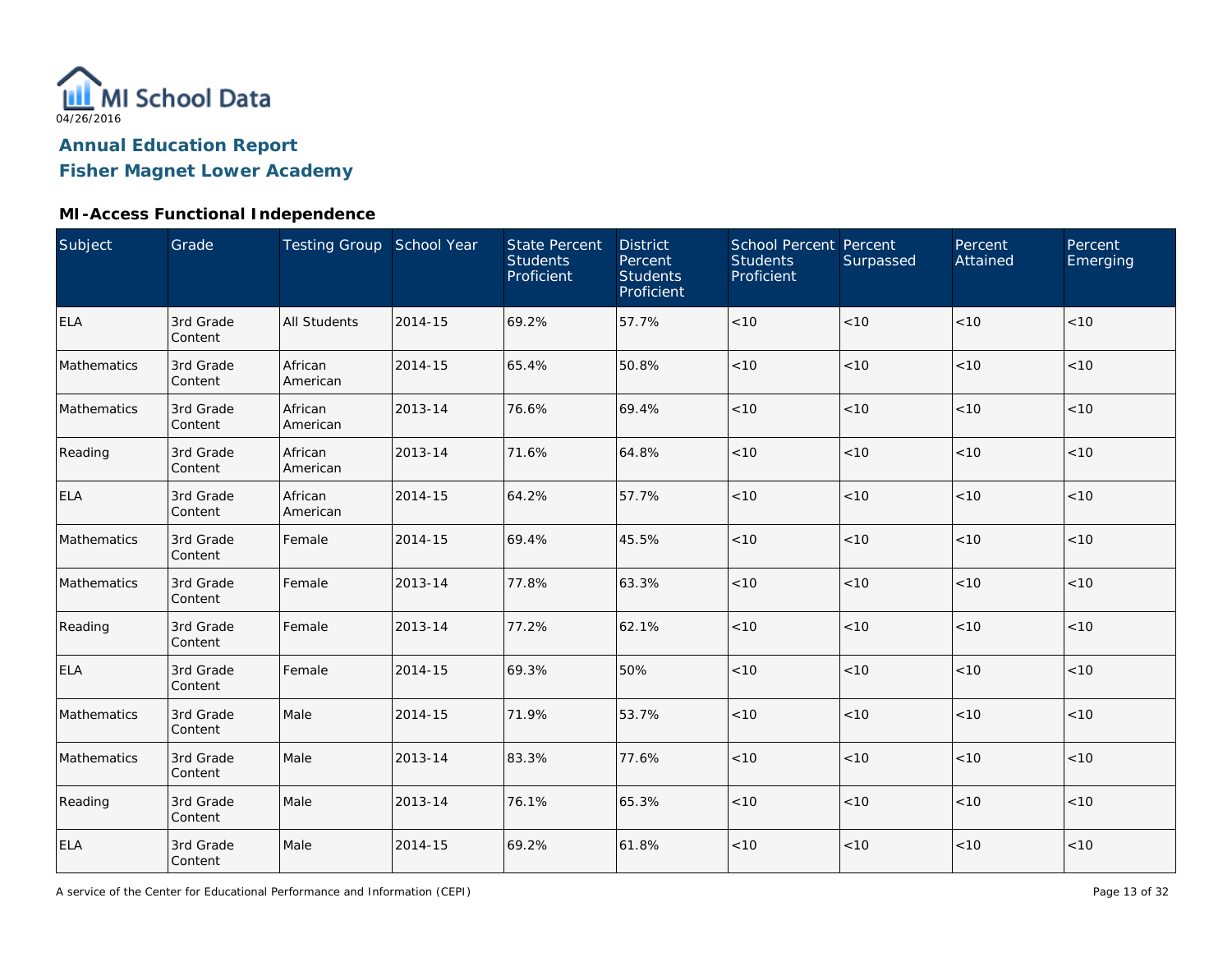

**Fisher Magnet Lower Academy**

### **MI-Access Functional Independence**

| Subject     | Grade                | Testing Group School Year |         | <b>State Percent</b><br><b>Students</b><br>Proficient | <b>District</b><br>Percent<br><b>Students</b><br>Proficient | School Percent Percent<br><b>Students</b><br>Proficient | Surpassed | Percent<br>Attained | Percent<br>Emerging |
|-------------|----------------------|---------------------------|---------|-------------------------------------------------------|-------------------------------------------------------------|---------------------------------------------------------|-----------|---------------------|---------------------|
| <b>ELA</b>  | 3rd Grade<br>Content | <b>All Students</b>       | 2014-15 | 69.2%                                                 | 57.7%                                                       | $<10$                                                   | < 10      | < 10                | < 10                |
| Mathematics | 3rd Grade<br>Content | African<br>American       | 2014-15 | 65.4%                                                 | 50.8%                                                       | $<10$                                                   | < 10      | < 10                | < 10                |
| Mathematics | 3rd Grade<br>Content | African<br>American       | 2013-14 | 76.6%                                                 | 69.4%                                                       | $<10$                                                   | < 10      | < 10                | < 10                |
| Reading     | 3rd Grade<br>Content | African<br>American       | 2013-14 | 71.6%                                                 | 64.8%                                                       | $<10$                                                   | < 10      | <10                 | $<10$               |
| <b>ELA</b>  | 3rd Grade<br>Content | African<br>American       | 2014-15 | 64.2%                                                 | 57.7%                                                       | < 10                                                    | < 10      | < 10                | < 10                |
| Mathematics | 3rd Grade<br>Content | Female                    | 2014-15 | 69.4%                                                 | 45.5%                                                       | < 10                                                    | < 10      | < 10                | < 10                |
| Mathematics | 3rd Grade<br>Content | Female                    | 2013-14 | 77.8%                                                 | 63.3%                                                       | < 10                                                    | < 10      | < 10                | < 10                |
| Reading     | 3rd Grade<br>Content | Female                    | 2013-14 | 77.2%                                                 | 62.1%                                                       | $<10$                                                   | < 10      | < 10                | < 10                |
| ELA         | 3rd Grade<br>Content | Female                    | 2014-15 | 69.3%                                                 | 50%                                                         | $<10$                                                   | < 10      | < 10                | < 10                |
| Mathematics | 3rd Grade<br>Content | Male                      | 2014-15 | 71.9%                                                 | 53.7%                                                       | $<10$                                                   | < 10      | < 10                | < 10                |
| Mathematics | 3rd Grade<br>Content | Male                      | 2013-14 | 83.3%                                                 | 77.6%                                                       | $<10$                                                   | < 10      | < 10                | < 10                |
| Reading     | 3rd Grade<br>Content | Male                      | 2013-14 | 76.1%                                                 | 65.3%                                                       | $<10$                                                   | < 10      | < 10                | < 10                |
| <b>ELA</b>  | 3rd Grade<br>Content | Male                      | 2014-15 | 69.2%                                                 | 61.8%                                                       | $<10$                                                   | $<10$     | < 10                | < 10                |

A service of the Center for Educational Performance and Information (CEPI)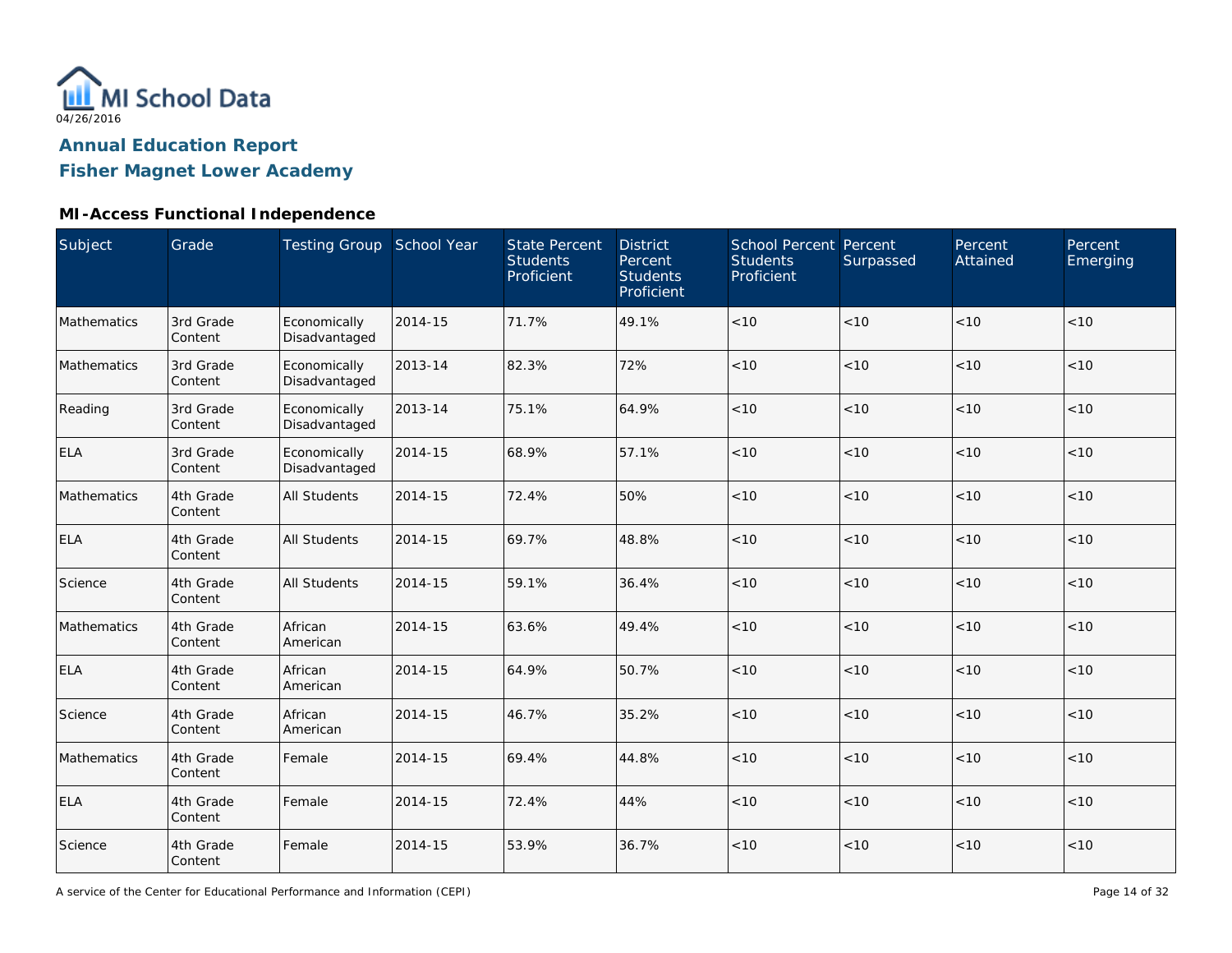

**Fisher Magnet Lower Academy**

# **MI-Access Functional Independence**

| Subject     | Grade                | <b>Testing Group School Year</b> |         | <b>State Percent</b><br><b>Students</b><br>Proficient | <b>District</b><br>Percent<br><b>Students</b><br>Proficient | School Percent Percent<br><b>Students</b><br>Proficient | Surpassed | Percent<br>Attained | Percent<br>Emerging |
|-------------|----------------------|----------------------------------|---------|-------------------------------------------------------|-------------------------------------------------------------|---------------------------------------------------------|-----------|---------------------|---------------------|
| Mathematics | 3rd Grade<br>Content | Economically<br>Disadvantaged    | 2014-15 | 71.7%                                                 | 49.1%                                                       | $<10$                                                   | < 10      | <10                 | < 10                |
| Mathematics | 3rd Grade<br>Content | Economically<br>Disadvantaged    | 2013-14 | 82.3%                                                 | 72%                                                         | < 10                                                    | < 10      | < 10                | < 10                |
| Reading     | 3rd Grade<br>Content | Economically<br>Disadvantaged    | 2013-14 | 75.1%                                                 | 64.9%                                                       | < 10                                                    | < 10      | < 10                | < 10                |
| <b>ELA</b>  | 3rd Grade<br>Content | Economically<br>Disadvantaged    | 2014-15 | 68.9%                                                 | 57.1%                                                       | < 10                                                    | < 10      | < 10                | < 10                |
| Mathematics | 4th Grade<br>Content | <b>All Students</b>              | 2014-15 | 72.4%                                                 | 50%                                                         | $<10$                                                   | < 10      | <10                 | < 10                |
| <b>ELA</b>  | 4th Grade<br>Content | <b>All Students</b>              | 2014-15 | 69.7%                                                 | 48.8%                                                       | < 10                                                    | < 10      | < 10                | < 10                |
| Science     | 4th Grade<br>Content | <b>All Students</b>              | 2014-15 | 59.1%                                                 | 36.4%                                                       | $<10$                                                   | < 10      | < 10                | < 10                |
| Mathematics | 4th Grade<br>Content | African<br>American              | 2014-15 | 63.6%                                                 | 49.4%                                                       | $<10$                                                   | < 10      | < 10                | < 10                |
| <b>ELA</b>  | 4th Grade<br>Content | African<br>American              | 2014-15 | 64.9%                                                 | 50.7%                                                       | $<10$                                                   | < 10      | < 10                | < 10                |
| Science     | 4th Grade<br>Content | African<br>American              | 2014-15 | 46.7%                                                 | 35.2%                                                       | < 10                                                    | < 10      | < 10                | < 10                |
| Mathematics | 4th Grade<br>Content | Female                           | 2014-15 | 69.4%                                                 | 44.8%                                                       | $<10$                                                   | < 10      | < 10                | < 10                |
| <b>ELA</b>  | 4th Grade<br>Content | Female                           | 2014-15 | 72.4%                                                 | 44%                                                         | $<10$                                                   | < 10      | < 10                | $<10$               |
| Science     | 4th Grade<br>Content | Female                           | 2014-15 | 53.9%                                                 | 36.7%                                                       | $<10$                                                   | < 10      | < 10                | < 10                |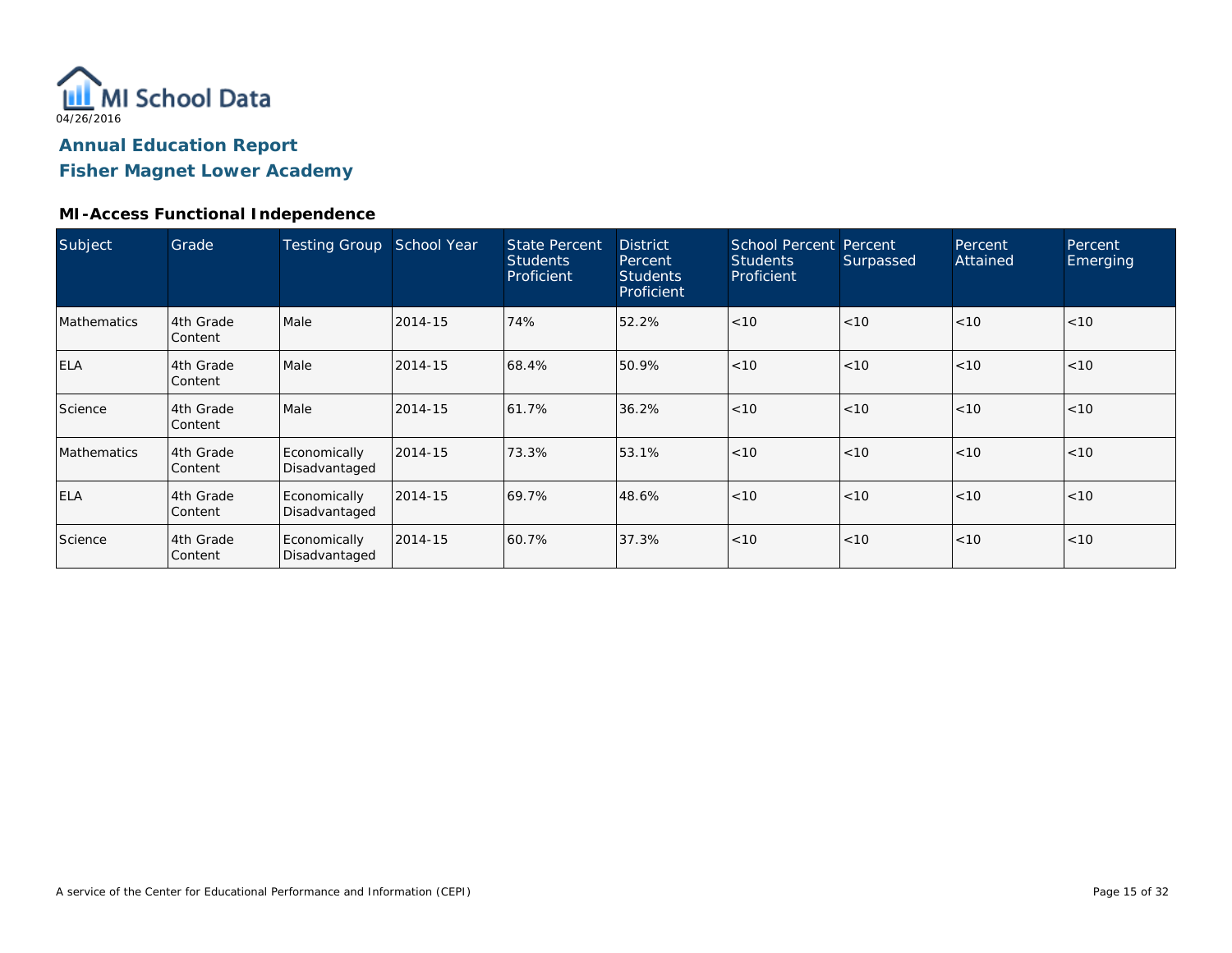

**Fisher Magnet Lower Academy**

#### **MI-Access Functional Independence**

| Subject            | Grade                | <b>Testing Group</b>          | School Year | <b>State Percent</b><br><b>Students</b><br>Proficient | <b>District</b><br>Percent<br><b>Students</b><br>Proficient | School Percent Percent<br><b>Students</b><br>Proficient | Surpassed | Percent<br>Attained | Percent<br>Emerging |
|--------------------|----------------------|-------------------------------|-------------|-------------------------------------------------------|-------------------------------------------------------------|---------------------------------------------------------|-----------|---------------------|---------------------|
| <b>Mathematics</b> | 4th Grade<br>Content | Male                          | 2014-15     | 74%                                                   | 52.2%                                                       | < 10                                                    | < 10      | < 10                | < 10                |
| <b>ELA</b>         | 4th Grade<br>Content | Male                          | 2014-15     | 68.4%                                                 | 50.9%                                                       | < 10                                                    | < 10      | < 10                | < 10                |
| Science            | 4th Grade<br>Content | Male                          | 2014-15     | 61.7%                                                 | 36.2%                                                       | < 10                                                    | < 10      | < 10                | < 10                |
| Mathematics        | 4th Grade<br>Content | Economically<br>Disadvantaged | 2014-15     | 73.3%                                                 | 53.1%                                                       | < 10                                                    | < 10      | < 10                | < 10                |
| <b>ELA</b>         | 4th Grade<br>Content | Economically<br>Disadvantaged | 2014-15     | 69.7%                                                 | 48.6%                                                       | < 10                                                    | < 10      | < 10                | < 10                |
| Science            | 4th Grade<br>Content | Economically<br>Disadvantaged | 2014-15     | 60.7%                                                 | 37.3%                                                       | < 10                                                    | < 10      | < 10                | < 10                |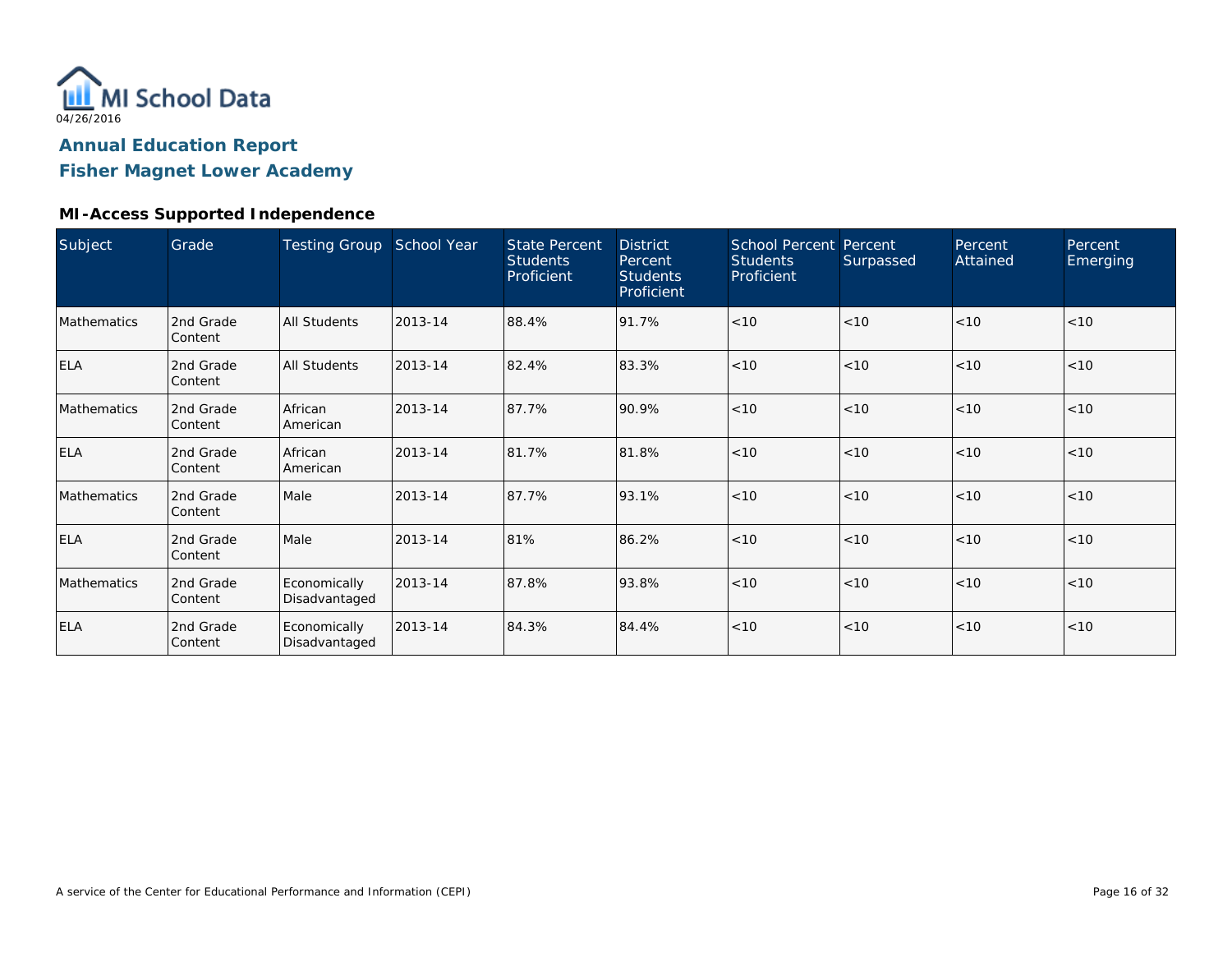

**Fisher Magnet Lower Academy**

#### **MI-Access Supported Independence**

| Subject     | Grade                       | Testing Group School Year     |         | <b>State Percent</b><br><b>Students</b><br>Proficient | <b>District</b><br>Percent<br><b>Students</b><br>Proficient | <b>School Percent Percent</b><br><b>Students</b><br>Proficient | Surpassed | Percent<br>Attained | Percent<br>Emerging |
|-------------|-----------------------------|-------------------------------|---------|-------------------------------------------------------|-------------------------------------------------------------|----------------------------------------------------------------|-----------|---------------------|---------------------|
| Mathematics | 2nd Grade<br>Content        | All Students                  | 2013-14 | 88.4%                                                 | 91.7%                                                       | < 10                                                           | < 10      | < 10                | < 10                |
| <b>ELA</b>  | 2nd Grade<br>Content        | All Students                  | 2013-14 | 82.4%                                                 | 83.3%                                                       | < 10                                                           | < 10      | < 10                | < 10                |
| Mathematics | 2nd Grade<br>Content        | African<br>American           | 2013-14 | 87.7%                                                 | 90.9%                                                       | < 10                                                           | < 10      | < 10                | < 10                |
| <b>ELA</b>  | 2nd Grade<br>Content        | African<br>American           | 2013-14 | 81.7%                                                 | 81.8%                                                       | < 10                                                           | < 10      | < 10                | < 10                |
| Mathematics | 2nd Grade<br>Content        | Male                          | 2013-14 | 87.7%                                                 | 93.1%                                                       | < 10                                                           | < 10      | < 10                | < 10                |
| <b>ELA</b>  | 2nd Grade<br><b>Content</b> | Male                          | 2013-14 | 81%                                                   | 86.2%                                                       | < 10                                                           | < 10      | < 10                | < 10                |
| Mathematics | 2nd Grade<br>Content        | Economically<br>Disadvantaged | 2013-14 | 87.8%                                                 | 93.8%                                                       | < 10                                                           | < 10      | < 10                | < 10                |
| <b>ELA</b>  | 2nd Grade<br>Content        | Economically<br>Disadvantaged | 2013-14 | 84.3%                                                 | 84.4%                                                       | < 10                                                           | < 10      | < 10                | < 10                |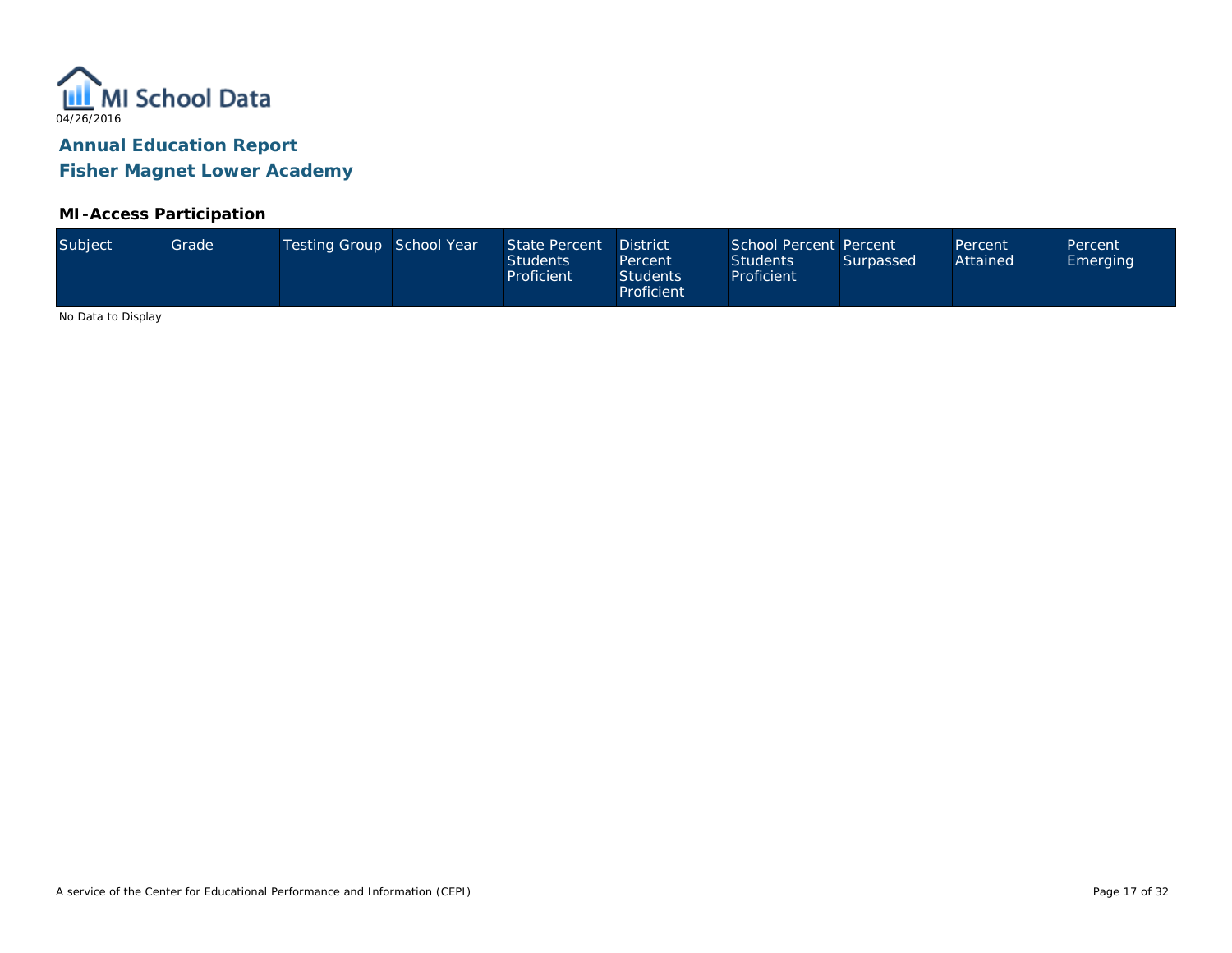

**Fisher Magnet Lower Academy**

#### **MI-Access Participation**

| Subject<br>Testing Group School Year<br>State Percent<br>Grade <sup>1</sup><br>Attained<br><b>Students</b><br><b>Students</b><br>Surpassed<br><b>Emerging</b><br>Percent<br>Proficient<br>Proficient<br><b>Students</b><br>Proficient | School Percent Percent<br><b>District</b><br>Percent<br>Percent |
|---------------------------------------------------------------------------------------------------------------------------------------------------------------------------------------------------------------------------------------|-----------------------------------------------------------------|
|---------------------------------------------------------------------------------------------------------------------------------------------------------------------------------------------------------------------------------------|-----------------------------------------------------------------|

No Data to Display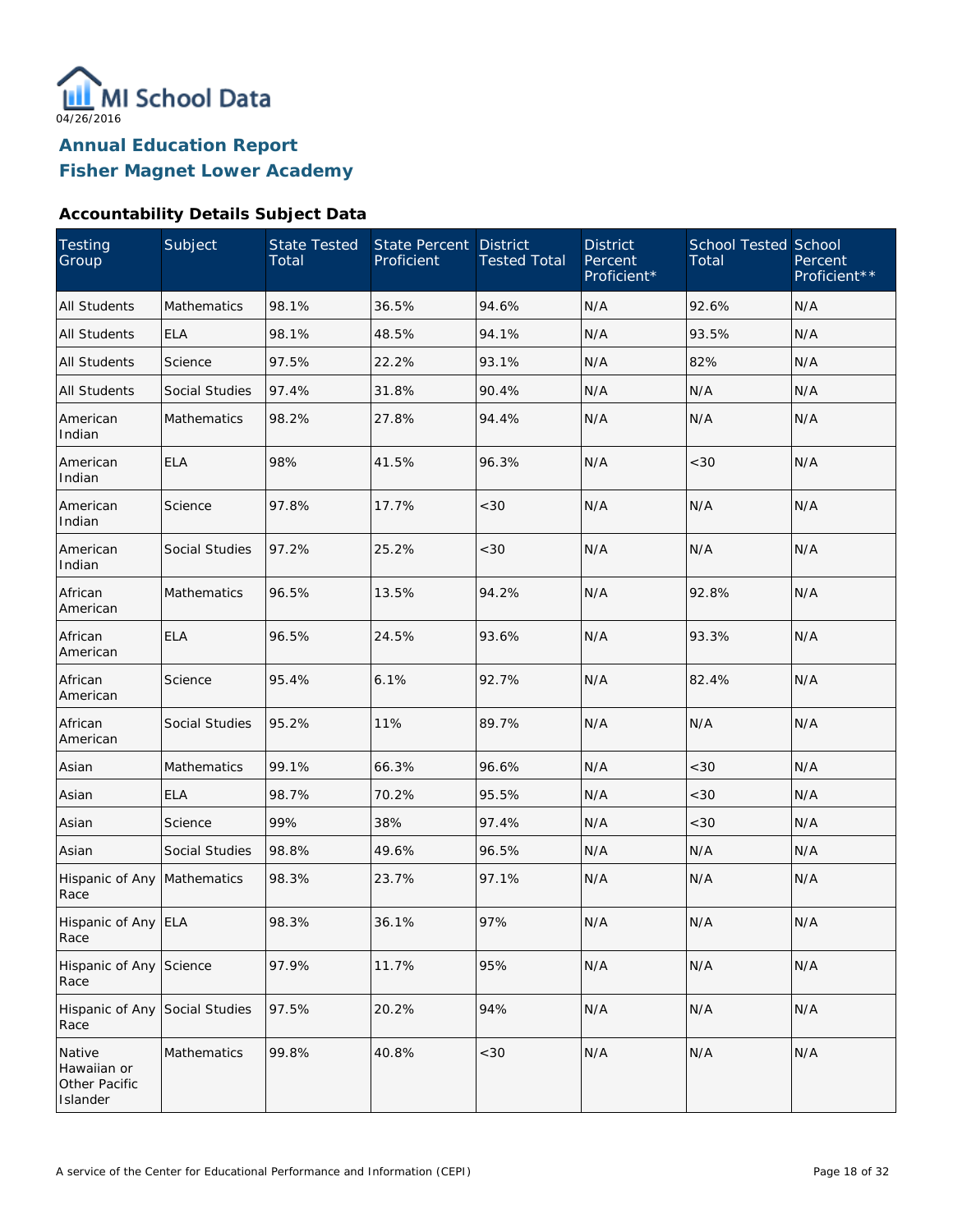

#### **Accountability Details Subject Data**

| <b>Testing</b><br>Group                            | Subject               | <b>State Tested</b><br>Total | <b>State Percent</b><br>Proficient | <b>District</b><br><b>Tested Total</b> | <b>District</b><br>Percent<br>Proficient* | <b>School Tested School</b><br>Total | Percent<br>Proficient** |
|----------------------------------------------------|-----------------------|------------------------------|------------------------------------|----------------------------------------|-------------------------------------------|--------------------------------------|-------------------------|
| <b>All Students</b>                                | Mathematics           | 98.1%                        | 36.5%                              | 94.6%                                  | N/A                                       | 92.6%                                | N/A                     |
| <b>All Students</b>                                | <b>ELA</b>            | 98.1%                        | 48.5%                              | 94.1%                                  | N/A                                       | 93.5%                                | N/A                     |
| All Students                                       | Science               | 97.5%                        | 22.2%                              | 93.1%                                  | N/A                                       | 82%                                  | N/A                     |
| <b>All Students</b>                                | <b>Social Studies</b> | 97.4%                        | 31.8%                              | 90.4%                                  | N/A                                       | N/A                                  | N/A                     |
| American<br>Indian                                 | <b>Mathematics</b>    | 98.2%                        | 27.8%                              | 94.4%                                  | N/A                                       | N/A                                  | N/A                     |
| American<br>Indian                                 | <b>ELA</b>            | 98%                          | 41.5%                              | 96.3%                                  | N/A                                       | <30                                  | N/A                     |
| American<br>Indian                                 | Science               | 97.8%                        | 17.7%                              | <30                                    | N/A                                       | N/A                                  | N/A                     |
| American<br>Indian                                 | Social Studies        | 97.2%                        | 25.2%                              | <30                                    | N/A                                       | N/A                                  | N/A                     |
| African<br>American                                | Mathematics           | 96.5%                        | 13.5%                              | 94.2%                                  | N/A                                       | 92.8%                                | N/A                     |
| African<br>American                                | <b>ELA</b>            | 96.5%                        | 24.5%                              | 93.6%                                  | N/A                                       | 93.3%                                | N/A                     |
| African<br>American                                | Science               | 95.4%                        | 6.1%                               | 92.7%                                  | N/A                                       | 82.4%                                | N/A                     |
| African<br>American                                | Social Studies        | 95.2%                        | 11%                                | 89.7%                                  | N/A                                       | N/A                                  | N/A                     |
| Asian                                              | Mathematics           | 99.1%                        | 66.3%                              | 96.6%                                  | N/A                                       | <30                                  | N/A                     |
| Asian                                              | <b>ELA</b>            | 98.7%                        | 70.2%                              | 95.5%                                  | N/A                                       | < 30                                 | N/A                     |
| Asian                                              | Science               | 99%                          | 38%                                | 97.4%                                  | N/A                                       | <30                                  | N/A                     |
| Asian                                              | <b>Social Studies</b> | 98.8%                        | 49.6%                              | 96.5%                                  | N/A                                       | N/A                                  | N/A                     |
| Hispanic of Any Mathematics<br>Race                |                       | 98.3%                        | 23.7%                              | 97.1%                                  | N/A                                       | N/A                                  | N/A                     |
| Hispanic of Any ELA<br>Race                        |                       | 98.3%                        | 36.1%                              | 97%                                    | N/A                                       | N/A                                  | N/A                     |
| Hispanic of Any Science<br>Race                    |                       | 97.9%                        | 11.7%                              | 95%                                    | N/A                                       | N/A                                  | N/A                     |
| Hispanic of Any<br>Race                            | Social Studies        | 97.5%                        | 20.2%                              | 94%                                    | N/A                                       | N/A                                  | N/A                     |
| Native<br>Hawaiian or<br>Other Pacific<br>Islander | Mathematics           | 99.8%                        | 40.8%                              | <30                                    | N/A                                       | N/A                                  | N/A                     |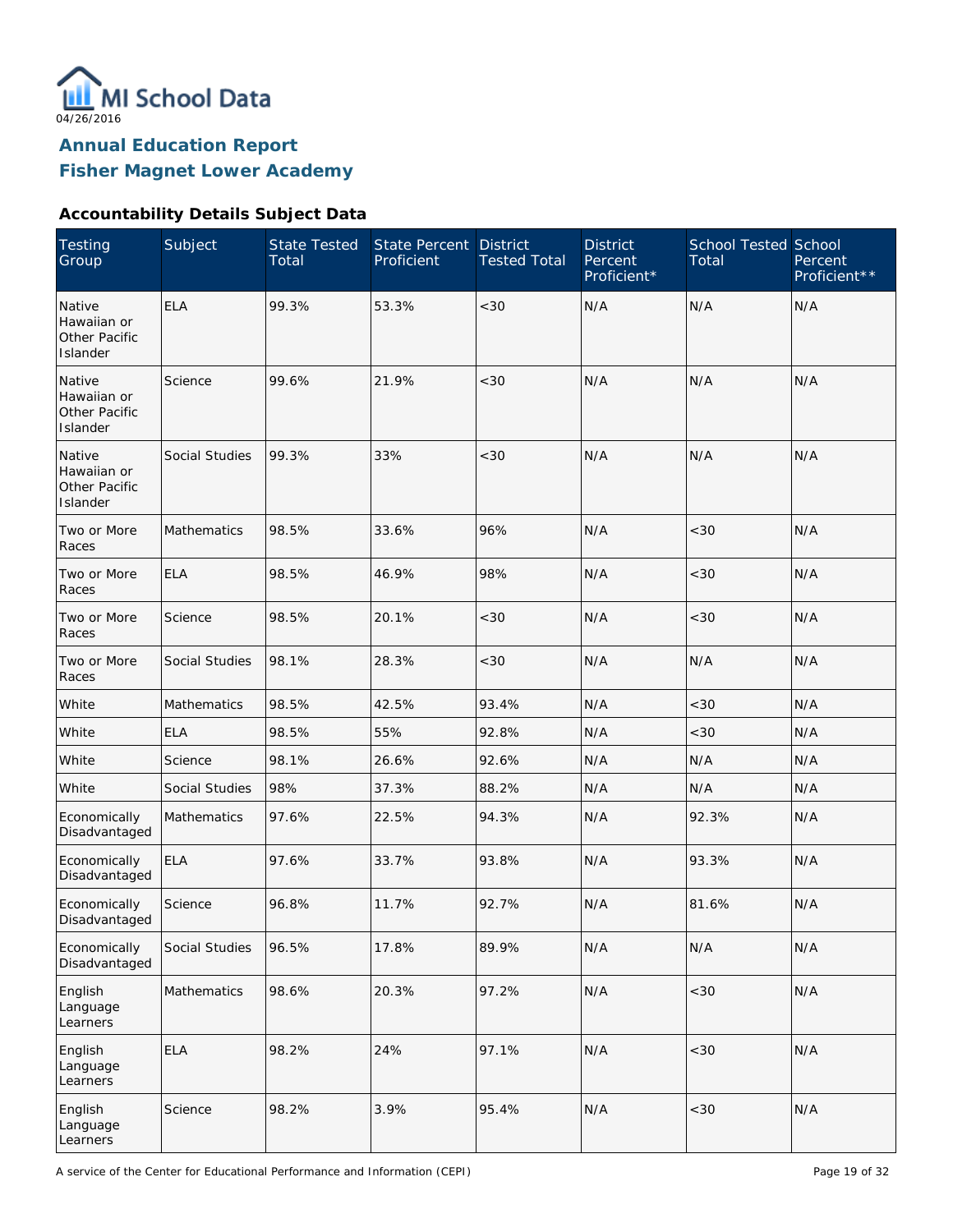

#### **Accountability Details Subject Data**

| Testing<br>Group                                   | Subject            | <b>State Tested</b><br>Total | State Percent<br>Proficient | <b>District</b><br><b>Tested Total</b> | <b>District</b><br>Percent<br>Proficient* | <b>School Tested School</b><br>Total | Percent<br>Proficient** |
|----------------------------------------------------|--------------------|------------------------------|-----------------------------|----------------------------------------|-------------------------------------------|--------------------------------------|-------------------------|
| Native<br>Hawaiian or<br>Other Pacific<br>Islander | <b>ELA</b>         | 99.3%                        | 53.3%                       | < 30                                   | N/A                                       | N/A                                  | N/A                     |
| Native<br>Hawaiian or<br>Other Pacific<br>Islander | Science            | 99.6%                        | 21.9%                       | < 30                                   | N/A                                       | N/A                                  | N/A                     |
| Native<br>Hawaiian or<br>Other Pacific<br>Islander | Social Studies     | 99.3%                        | 33%                         | < 30                                   | N/A                                       | N/A                                  | N/A                     |
| Two or More<br>Races                               | Mathematics        | 98.5%                        | 33.6%                       | 96%                                    | N/A                                       | < 30                                 | N/A                     |
| Two or More<br>Races                               | <b>ELA</b>         | 98.5%                        | 46.9%                       | 98%                                    | N/A                                       | <30                                  | N/A                     |
| Two or More<br>Races                               | Science            | 98.5%                        | 20.1%                       | < 30                                   | N/A                                       | <30                                  | N/A                     |
| Two or More<br>Races                               | Social Studies     | 98.1%                        | 28.3%                       | $<30$                                  | N/A                                       | N/A                                  | N/A                     |
| White                                              | <b>Mathematics</b> | 98.5%                        | 42.5%                       | 93.4%                                  | N/A                                       | <30                                  | N/A                     |
| White                                              | <b>ELA</b>         | 98.5%                        | 55%                         | 92.8%                                  | N/A                                       | <30                                  | N/A                     |
| White                                              | Science            | 98.1%                        | 26.6%                       | 92.6%                                  | N/A                                       | N/A                                  | N/A                     |
| White                                              | Social Studies     | 98%                          | 37.3%                       | 88.2%                                  | N/A                                       | N/A                                  | N/A                     |
| Economically<br>Disadvantaged                      | <b>Mathematics</b> | 97.6%                        | 22.5%                       | 94.3%                                  | N/A                                       | 92.3%                                | N/A                     |
| Economically<br>Disadvantaged                      | <b>ELA</b>         | 97.6%                        | 33.7%                       | 93.8%                                  | N/A                                       | 93.3%                                | N/A                     |
| Economically<br>Disadvantaged                      | Science            | 96.8%                        | 11.7%                       | 92.7%                                  | N/A                                       | 81.6%                                | N/A                     |
| Economically<br>Disadvantaged                      | Social Studies     | 96.5%                        | 17.8%                       | 89.9%                                  | N/A                                       | N/A                                  | N/A                     |
| English<br>Language<br>Learners                    | Mathematics        | 98.6%                        | 20.3%                       | 97.2%                                  | N/A                                       | $<30$                                | N/A                     |
| English<br>Language<br>Learners                    | <b>ELA</b>         | 98.2%                        | 24%                         | 97.1%                                  | N/A                                       | <30                                  | N/A                     |
| English<br>Language<br>Learners                    | Science            | 98.2%                        | 3.9%                        | 95.4%                                  | N/A                                       | <30                                  | N/A                     |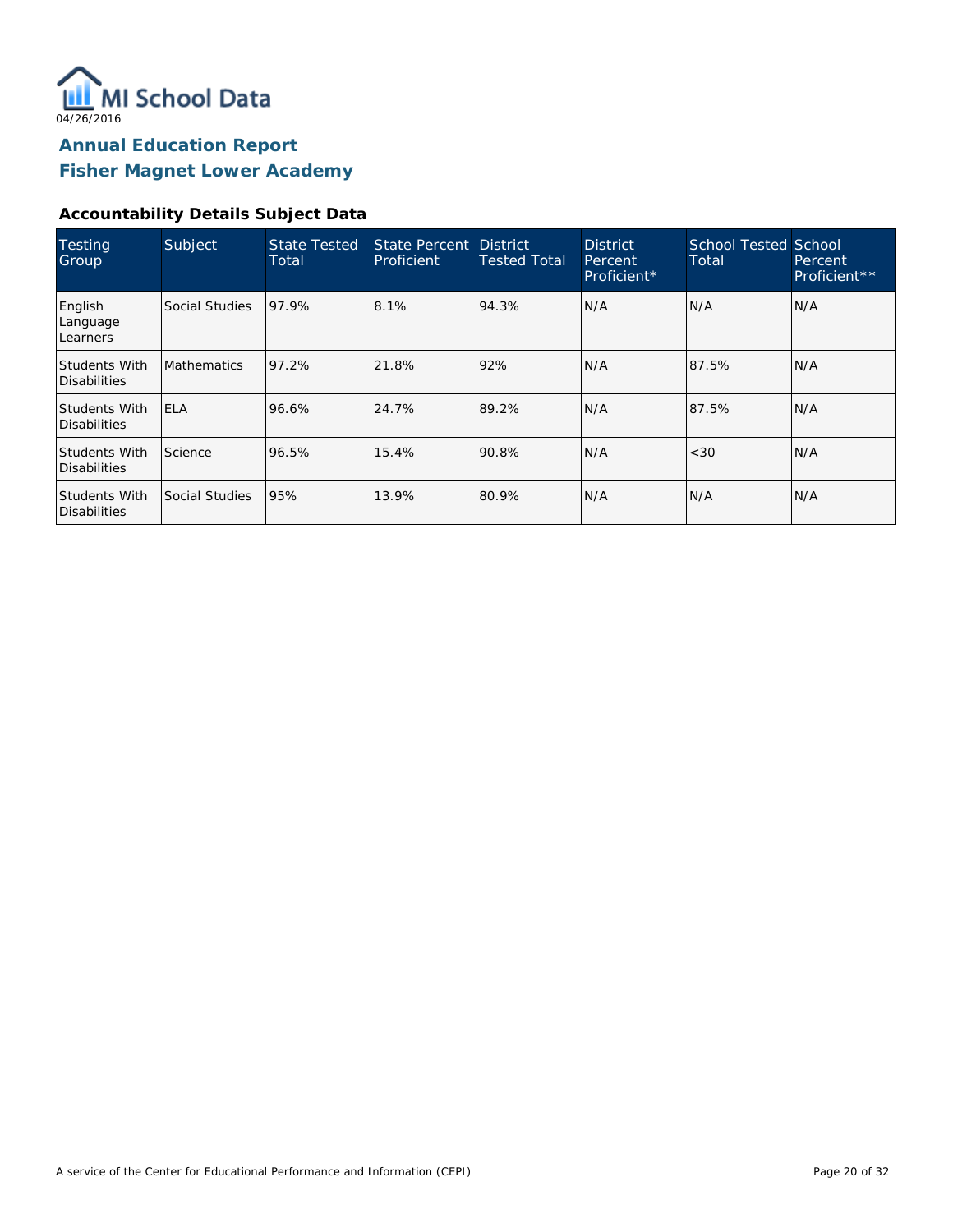

#### **Accountability Details Subject Data**

| <b>Testing</b><br>Group              | Subject            | <b>State Tested</b><br>Total | State Percent District<br>Proficient | <b>Tested Total</b> | <b>District</b><br>Percent<br>Proficient* | <b>School Tested School</b><br>Total | Percent<br>Proficient** |
|--------------------------------------|--------------------|------------------------------|--------------------------------------|---------------------|-------------------------------------------|--------------------------------------|-------------------------|
| English<br>Language<br>Learners      | Social Studies     | 97.9%                        | 8.1%                                 | 94.3%               | N/A                                       | N/A                                  | IN/A                    |
| <b>Students With</b><br>Disabilities | <b>Mathematics</b> | 97.2%                        | 21.8%                                | 92%                 | N/A                                       | 87.5%                                | N/A                     |
| <b>Students With</b><br>Disabilities | <b>ELA</b>         | 96.6%                        | 24.7%                                | 89.2%               | N/A                                       | 87.5%                                | N/A                     |
| <b>Students With</b><br>Disabilities | Science            | 96.5%                        | 15.4%                                | 90.8%               | N/A                                       | <30                                  | IN/A                    |
| <b>Students With</b><br>Disabilities | Social Studies     | 95%                          | 13.9%                                | 80.9%               | N/A                                       | N/A                                  | IN/A                    |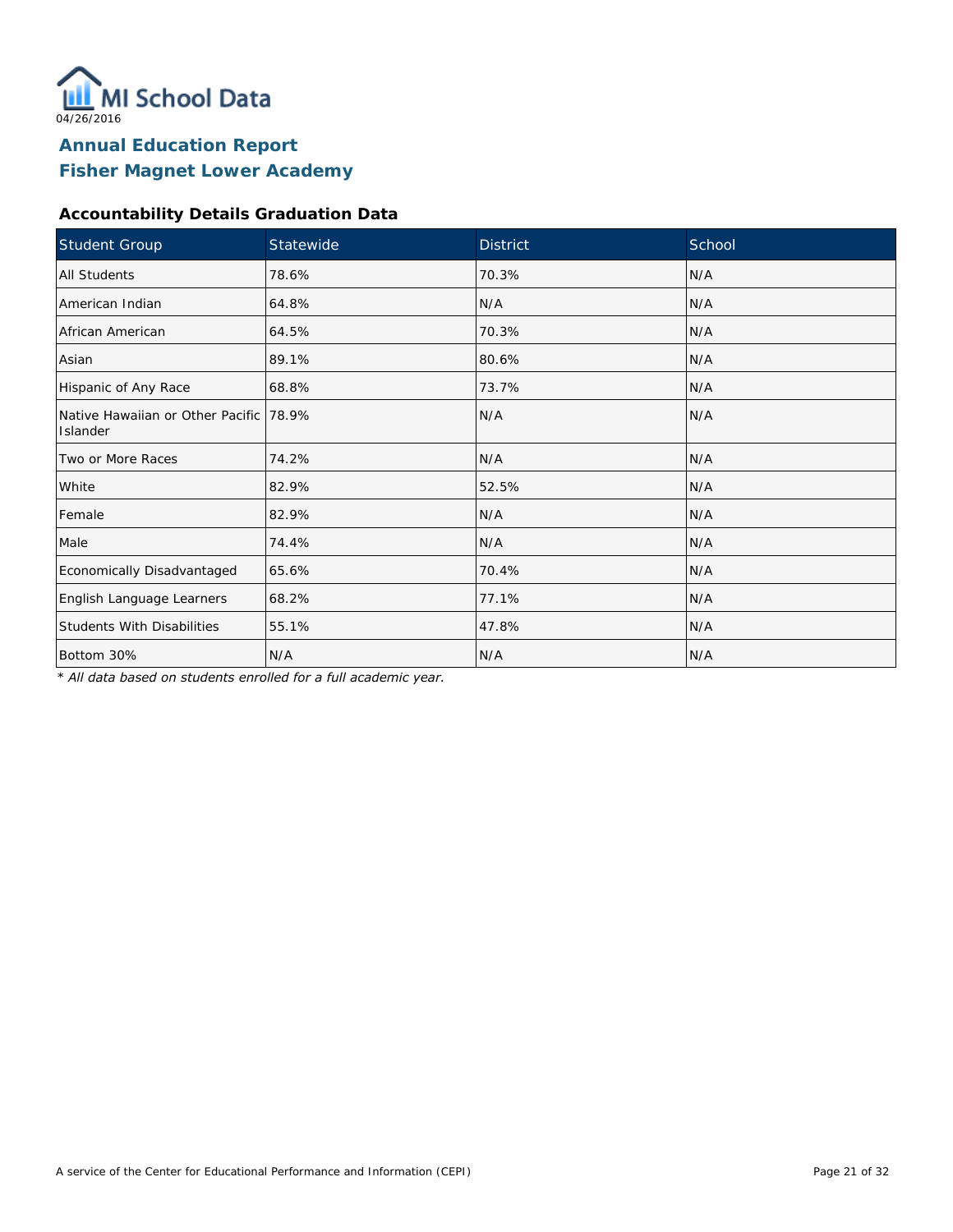

#### **Accountability Details Graduation Data**

| Student Group                                      | Statewide | <b>District</b> | School |
|----------------------------------------------------|-----------|-----------------|--------|
| <b>All Students</b>                                | 78.6%     | 70.3%           | N/A    |
| American Indian                                    | 64.8%     | N/A             | N/A    |
| African American                                   | 64.5%     | 70.3%           | N/A    |
| Asian                                              | 89.1%     | 80.6%           | N/A    |
| Hispanic of Any Race                               | 68.8%     | 73.7%           | N/A    |
| Native Hawaiian or Other Pacific 78.9%<br>Islander |           | N/A             | N/A    |
| Two or More Races                                  | 74.2%     | N/A             | N/A    |
| White                                              | 82.9%     | 52.5%           | N/A    |
| Female                                             | 82.9%     | N/A             | N/A    |
| Male                                               | 74.4%     | N/A             | N/A    |
| Economically Disadvantaged                         | 65.6%     | 70.4%           | N/A    |
| English Language Learners                          | 68.2%     | 77.1%           | N/A    |
| <b>Students With Disabilities</b>                  | 55.1%     | 47.8%           | N/A    |
| Bottom 30%                                         | N/A       | N/A             | N/A    |

*\* All data based on students enrolled for a full academic year.*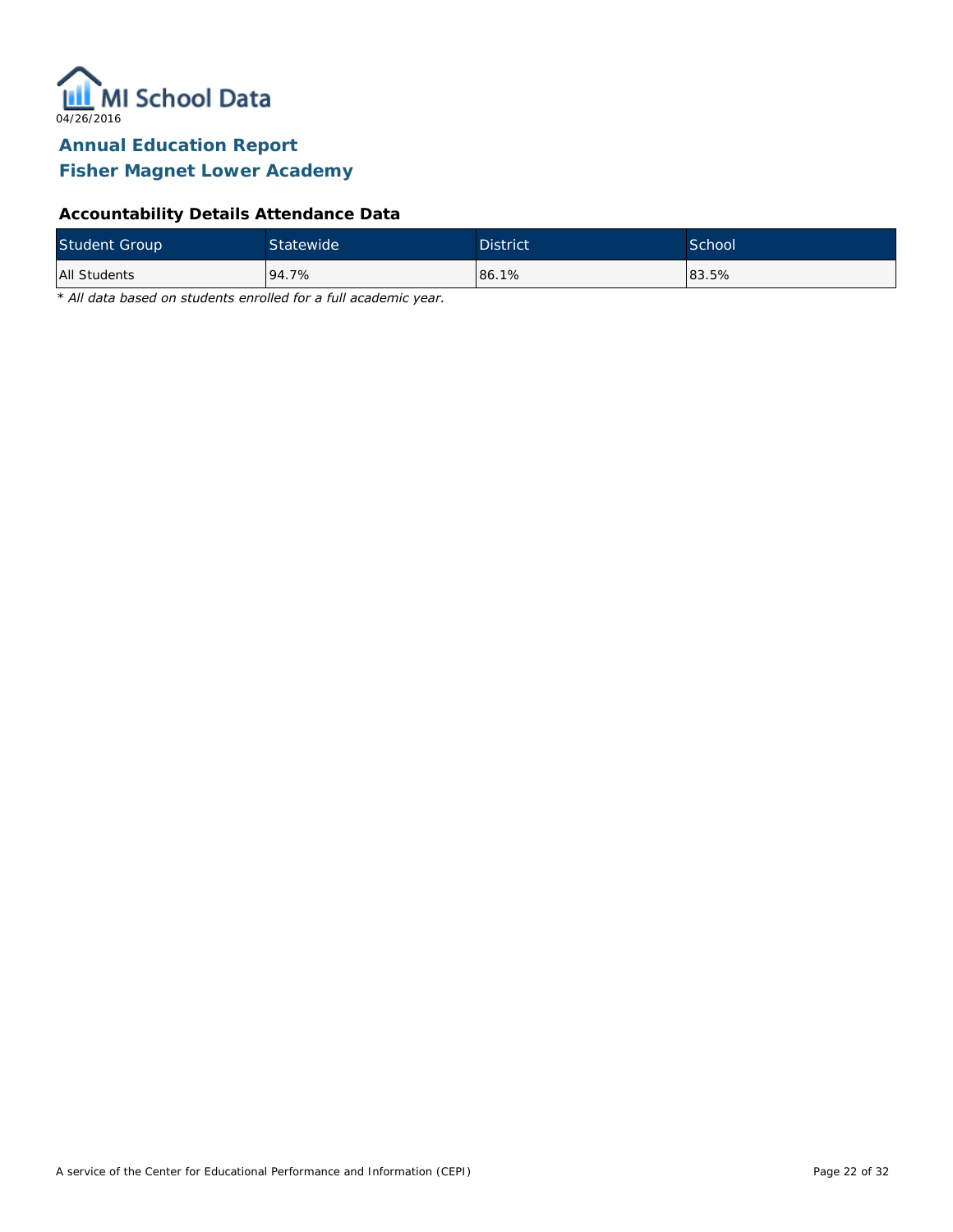

#### **Accountability Details Attendance Data**

| <b>Student Group</b> | Statewide <sup>1</sup> | <b>District</b> | School |
|----------------------|------------------------|-----------------|--------|
| All Students         | 94.7%                  | 86.1%           | 83.5%  |

*\* All data based on students enrolled for a full academic year.*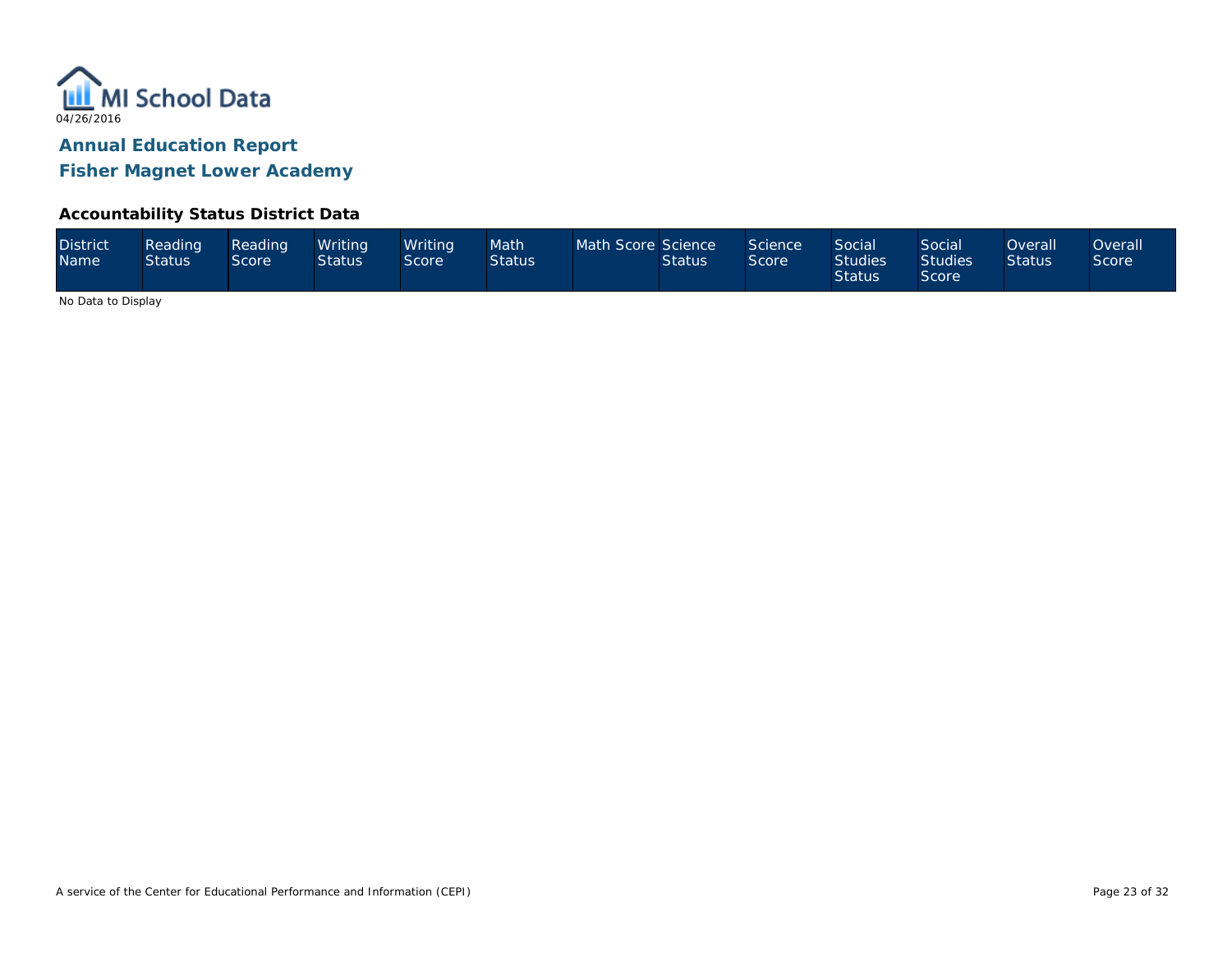

**Fisher Magnet Lower Academy**

#### **Accountability Status District Data**

| <b>District</b><br><b>Name</b> | Reading<br><b>Status</b> | Reading<br>Score' | Writina<br><b>Status</b> | Writina <sup>1</sup><br>Score | Math<br><b>Status</b> | Math Score Science | <b>Status</b> | Science<br><b>Score</b> | <b>Social</b><br><b>Studies</b><br><b>Status</b> | Social<br>Studies <sup>1</sup><br>Score | <b>Overall</b><br><b>Status</b> | )verall<br><b>Score</b> |
|--------------------------------|--------------------------|-------------------|--------------------------|-------------------------------|-----------------------|--------------------|---------------|-------------------------|--------------------------------------------------|-----------------------------------------|---------------------------------|-------------------------|
|--------------------------------|--------------------------|-------------------|--------------------------|-------------------------------|-----------------------|--------------------|---------------|-------------------------|--------------------------------------------------|-----------------------------------------|---------------------------------|-------------------------|

No Data to Display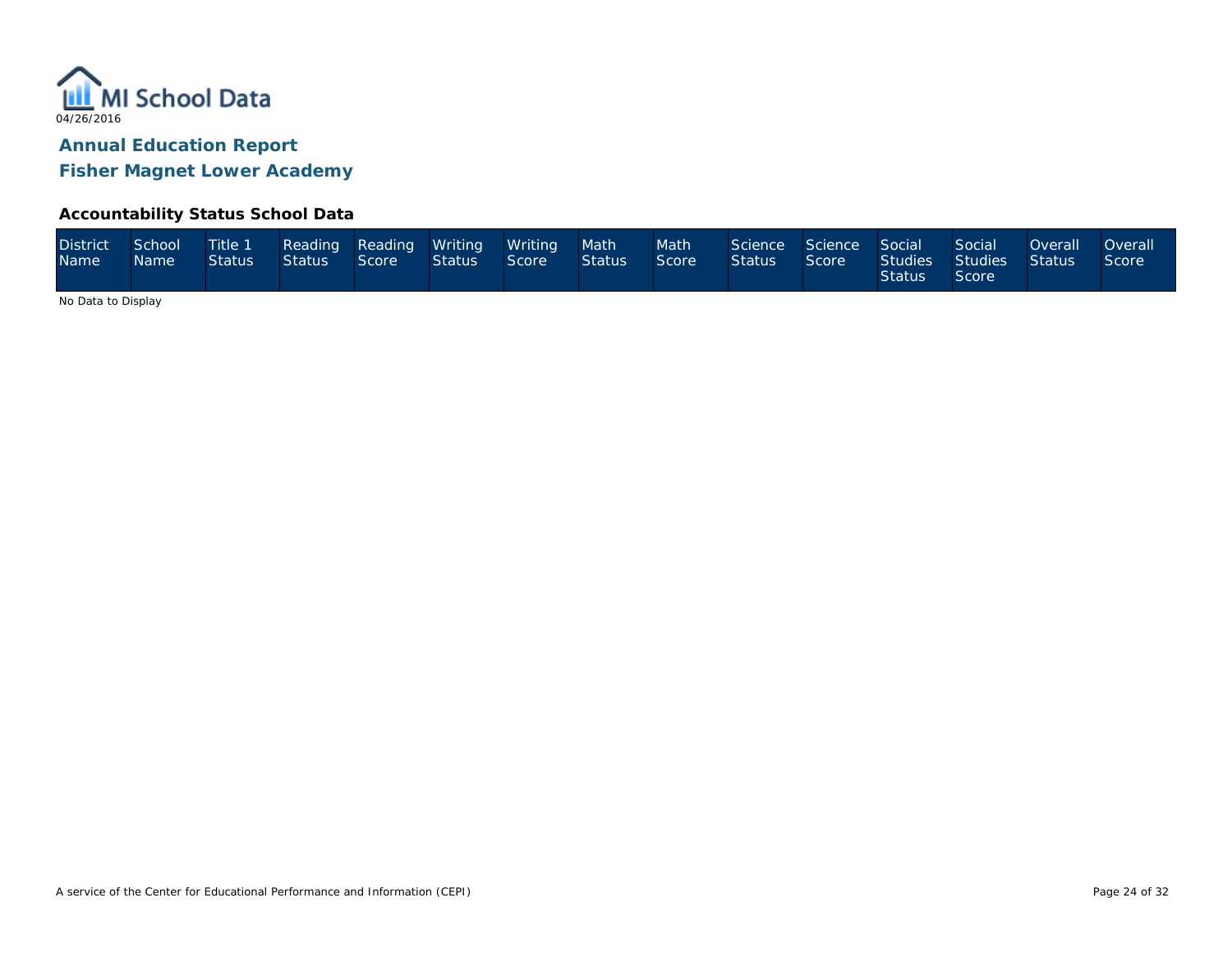

**Fisher Magnet Lower Academy**

#### **Accountability Status School Data**

| <b>District</b><br>Name <sup>1</sup> | School<br>Mame ! | Title 1<br>Status <sup>1</sup> | Status | Score | Reading Reading Writing Writing<br>$\blacksquare$ Status $\blacksquare$ | Score | Math<br><b>Status</b> | Math<br>Score | Science Science Social<br><b>Status</b> | Score | <b>Status</b> | Social<br>Studies Studies Status<br>Score | <b>Overall</b> | Overall <sup>1</sup><br>Score |
|--------------------------------------|------------------|--------------------------------|--------|-------|-------------------------------------------------------------------------|-------|-----------------------|---------------|-----------------------------------------|-------|---------------|-------------------------------------------|----------------|-------------------------------|
|--------------------------------------|------------------|--------------------------------|--------|-------|-------------------------------------------------------------------------|-------|-----------------------|---------------|-----------------------------------------|-------|---------------|-------------------------------------------|----------------|-------------------------------|

No Data to Display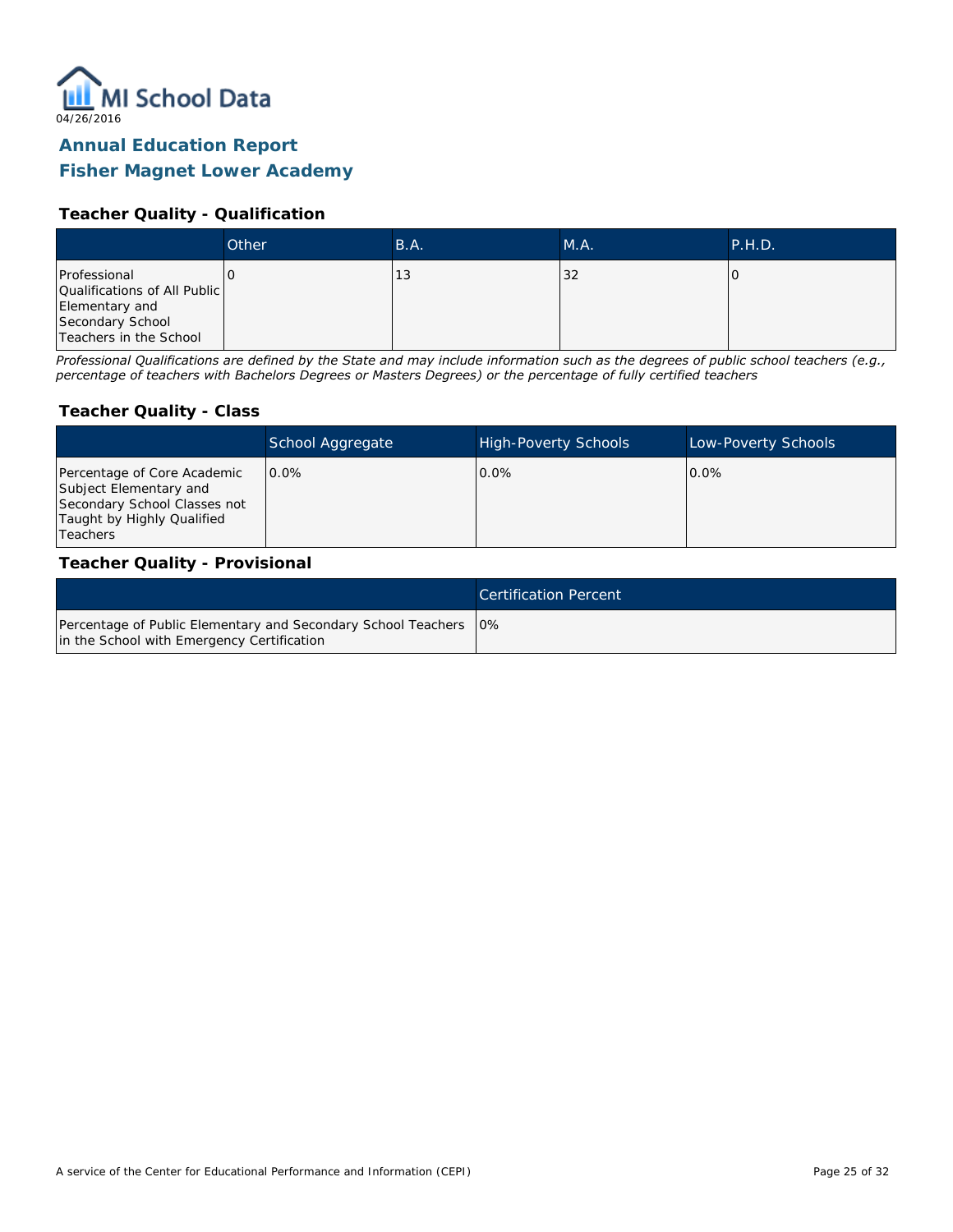

#### **Fisher Magnet Lower Academy**

#### **Teacher Quality - Qualification**

|                                                                                                              | Other | B.A. | M.A. | P.H.D. |
|--------------------------------------------------------------------------------------------------------------|-------|------|------|--------|
| Professional<br>Qualifications of All Public<br>Elementary and<br>Secondary School<br>Teachers in the School |       | 13   | 32   |        |

*Professional Qualifications are defined by the State and may include information such as the degrees of public school teachers (e.g., percentage of teachers with Bachelors Degrees or Masters Degrees) or the percentage of fully certified teachers*

#### **Teacher Quality - Class**

|                                                                                                                                   | School Aggregate | <b>High-Poverty Schools</b> | Low-Poverty Schools |
|-----------------------------------------------------------------------------------------------------------------------------------|------------------|-----------------------------|---------------------|
| Percentage of Core Academic<br>Subject Elementary and<br>Secondary School Classes not<br>Taught by Highly Qualified<br>l Teachers | $0.0\%$          | $0.0\%$                     | $0.0\%$             |

#### **Teacher Quality - Provisional**

|                                                                                                                  | Certification Percent |
|------------------------------------------------------------------------------------------------------------------|-----------------------|
| Percentage of Public Elementary and Secondary School Teachers   0%<br>in the School with Emergency Certification |                       |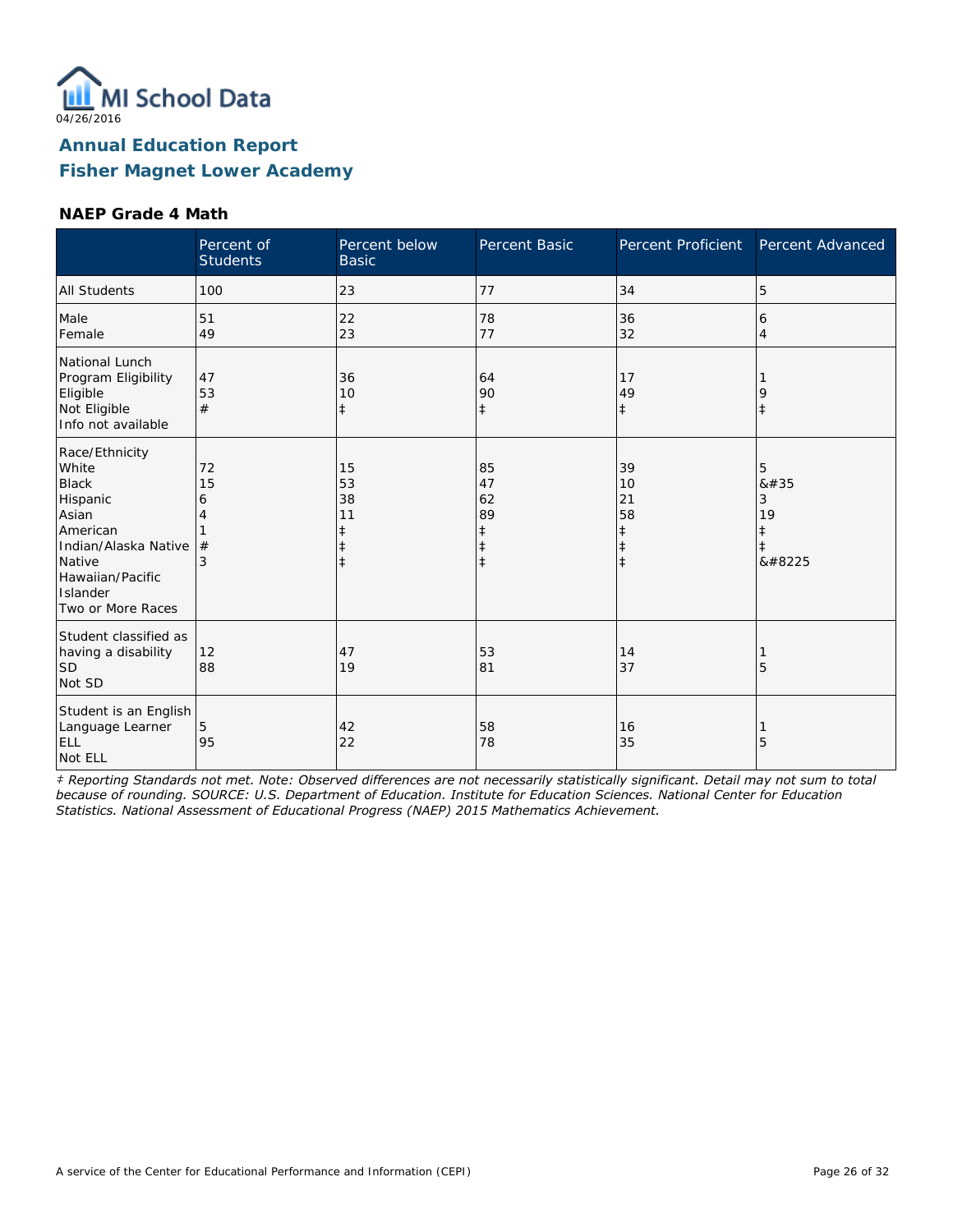

#### **NAEP Grade 4 Math**

|                                                                                                                                                                 | Percent of<br><b>Students</b> | Percent below<br><b>Basic</b>                    | Percent Basic                                                  | Percent Proficient                                             | Percent Advanced                        |
|-----------------------------------------------------------------------------------------------------------------------------------------------------------------|-------------------------------|--------------------------------------------------|----------------------------------------------------------------|----------------------------------------------------------------|-----------------------------------------|
| <b>All Students</b>                                                                                                                                             | 100                           | 23                                               | 77                                                             | 34                                                             | 5                                       |
| Male<br>Female                                                                                                                                                  | 51<br>49                      | 22<br>23                                         | 78<br>77                                                       | 36<br>32                                                       | 6<br>$\overline{4}$                     |
| National Lunch<br>Program Eligibility<br>Eligible<br>Not Eligible<br>Info not available                                                                         | 47<br>53<br>#                 | 36<br>10<br>$\ddagger$                           | 64<br>90<br>$\ddagger$                                         | 17<br>49<br>$\ddagger$                                         | 9<br>$\ddagger$                         |
| Race/Ethnicity<br>White<br><b>Black</b><br>Hispanic<br>Asian<br>American<br>Indian/Alaska Native<br>Native<br>Hawaiian/Pacific<br>Islander<br>Two or More Races | 72<br>15<br>6<br>4<br>#<br>3  | 15<br>53<br>38<br>11<br>$\ddagger$<br>$\ddagger$ | 85<br>47<br>62<br>89<br>$\ddagger$<br>$\ddagger$<br>$\ddagger$ | 39<br>10<br>21<br>58<br>$\ddagger$<br>$\ddagger$<br>$\ddagger$ | 5<br>8#35<br>3<br>19<br>$\ddagger$<br>‡ |
| Student classified as<br>having a disability<br><b>SD</b><br>Not SD                                                                                             | 12<br>88                      | 47<br>19                                         | 53<br>81                                                       | 14<br>37                                                       | 5                                       |
| Student is an English<br>Language Learner<br><b>ELL</b><br>Not ELL                                                                                              | 5<br>95                       | 42<br>22                                         | 58<br>78                                                       | 16<br>35                                                       | 5                                       |

*‡ Reporting Standards not met. Note: Observed differences are not necessarily statistically significant. Detail may not sum to total because of rounding. SOURCE: U.S. Department of Education. Institute for Education Sciences. National Center for Education Statistics. National Assessment of Educational Progress (NAEP) 2015 Mathematics Achievement.*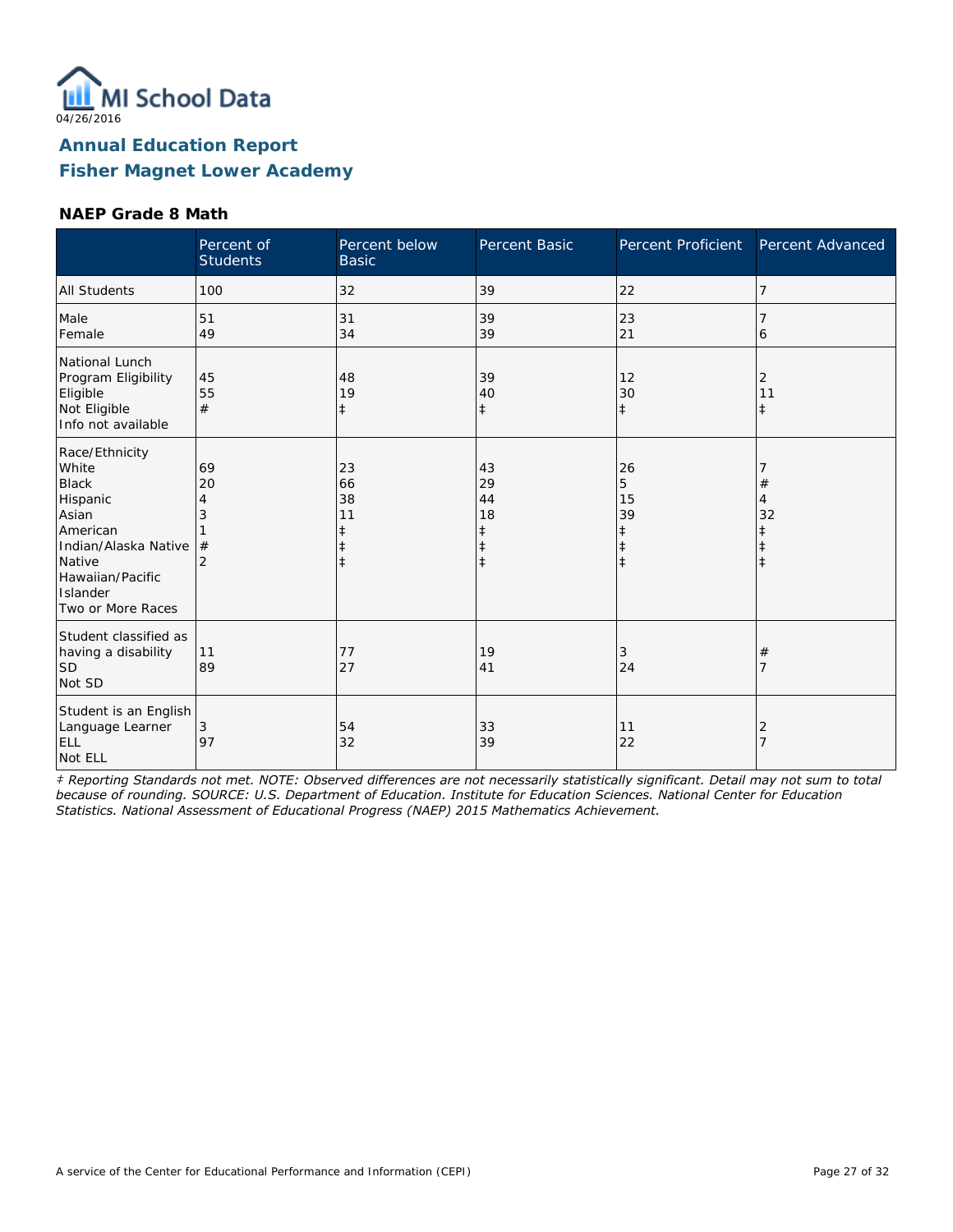

#### **NAEP Grade 8 Math**

|                                                                                                                                                                 | Percent of<br><b>Students</b>             | Percent below<br><b>Basic</b>                    | Percent Basic                                | Percent Proficient                     | Percent Advanced      |
|-----------------------------------------------------------------------------------------------------------------------------------------------------------------|-------------------------------------------|--------------------------------------------------|----------------------------------------------|----------------------------------------|-----------------------|
| <b>All Students</b>                                                                                                                                             | 100                                       | 32                                               | 39                                           | 22                                     | 7                     |
| Male<br>Female                                                                                                                                                  | 51<br>49                                  | 31<br>34                                         | 39<br>39                                     | 23<br>21                               | 6                     |
| National Lunch<br>Program Eligibility<br>Eligible<br>Not Eligible<br>Info not available                                                                         | 45<br>55<br>#                             | 48<br>19<br>$\ddagger$                           | 39<br>40<br>$\ddagger$                       | 12<br>30<br>$\ddagger$                 | 2<br>11<br>$\ddagger$ |
| Race/Ethnicity<br>White<br><b>Black</b><br>Hispanic<br>Asian<br>American<br>Indian/Alaska Native<br>Native<br>Hawaiian/Pacific<br>Islander<br>Two or More Races | 69<br>20<br>4<br>3<br>#<br>$\overline{2}$ | 23<br>66<br>38<br>11<br>ŧ<br>$\ddagger$<br>$\pm$ | 43<br>29<br>44<br>18<br>ŧ<br>ŧ<br>$\ddagger$ | 26<br>5<br>15<br>39<br>ŧ<br>$\ddagger$ | #<br>4<br>32          |
| Student classified as<br>having a disability<br>SD <sup>1</sup><br>Not SD                                                                                       | 11<br>89                                  | 77<br>27                                         | 19<br>41                                     | 3<br>24                                | #                     |
| Student is an English<br>Language Learner<br><b>ELL</b><br>Not ELL                                                                                              | 3<br>97                                   | 54<br>32                                         | 33<br>39                                     | 11<br>22                               | 2                     |

*‡ Reporting Standards not met. NOTE: Observed differences are not necessarily statistically significant. Detail may not sum to total because of rounding. SOURCE: U.S. Department of Education. Institute for Education Sciences. National Center for Education Statistics. National Assessment of Educational Progress (NAEP) 2015 Mathematics Achievement.*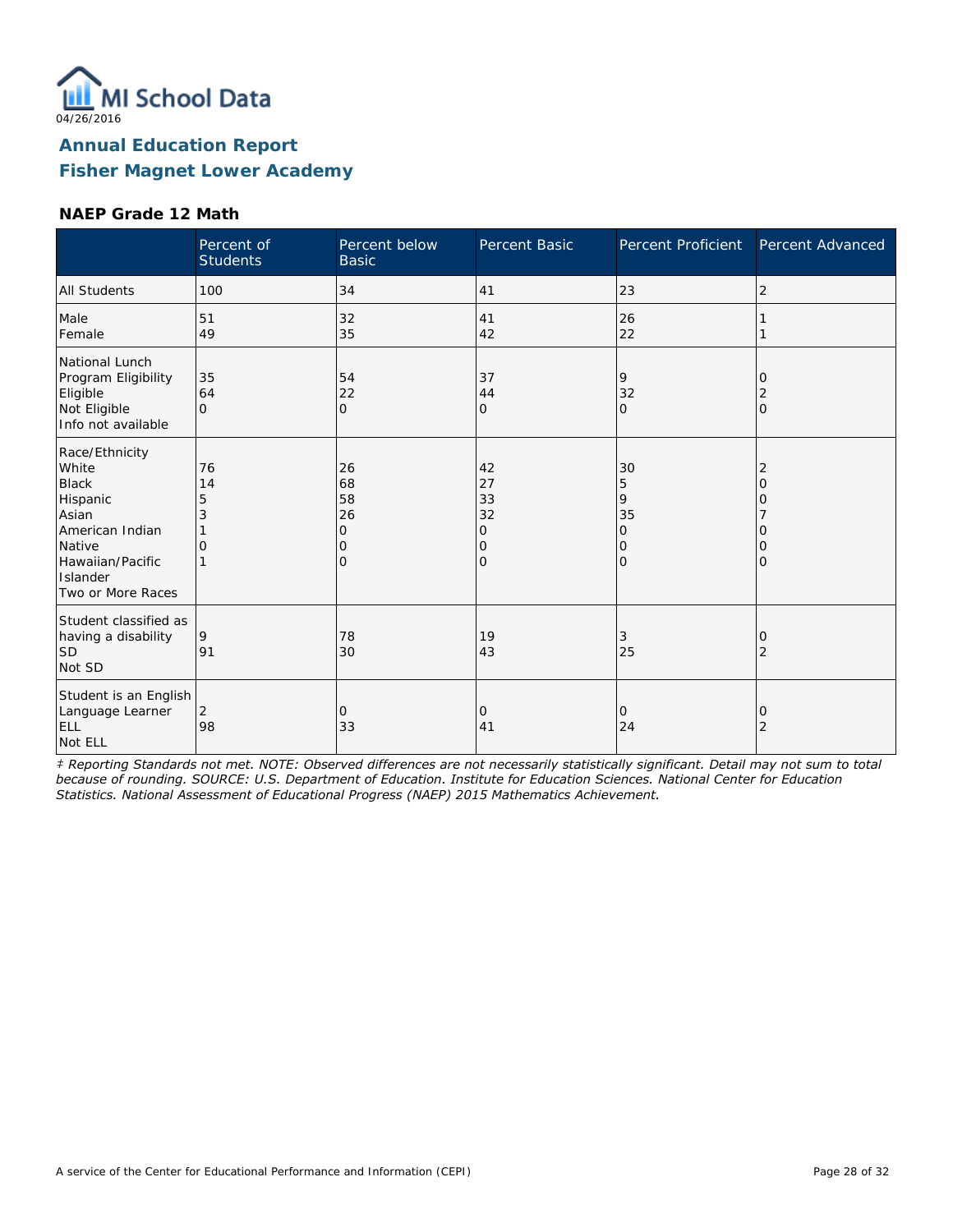

#### **NAEP Grade 12 Math**

|                                                                                                                                                | Percent of<br><b>Students</b> | Percent below<br><b>Basic</b>              | Percent Basic                       | Percent Proficient                       | Percent Advanced                  |
|------------------------------------------------------------------------------------------------------------------------------------------------|-------------------------------|--------------------------------------------|-------------------------------------|------------------------------------------|-----------------------------------|
| <b>All Students</b>                                                                                                                            | 100                           | 34                                         | 41                                  | 23                                       | 2                                 |
| Male<br>Female                                                                                                                                 | 51<br>49                      | 32<br>35                                   | 41<br>42                            | 26<br>22                                 |                                   |
| National Lunch<br>Program Eligibility<br>Eligible<br>Not Eligible<br>Info not available                                                        | 35<br>64<br>$\Omega$          | 54<br>22<br>$\Omega$                       | 37<br>44<br>0                       | 9<br>32<br>$\circ$                       | 0<br>2<br>$\Omega$                |
| Race/Ethnicity<br>White<br><b>Black</b><br>Hispanic<br>Asian<br>American Indian<br>Native<br>Hawaiian/Pacific<br>Islander<br>Two or More Races | 76<br>14<br>5<br>3<br>O       | 26<br>68<br>58<br>26<br>0<br>Ω<br>$\Omega$ | 42<br>27<br>33<br>32<br>0<br>0<br>O | 30<br>5<br>9<br>35<br>0<br>0<br>$\Omega$ | 2<br>O<br>Ω<br>O<br>O<br>$\Omega$ |
| Student classified as<br>having a disability<br>ISD<br>Not SD                                                                                  | 9<br>91                       | 78<br>30                                   | 19<br>43                            | 3<br>25                                  | 0<br>2                            |
| Student is an English<br>Language Learner<br><b>ELL</b><br>Not ELL                                                                             | 2<br>98                       | 0<br>33                                    | 0<br>41                             | $\circ$<br>24                            | 0<br>2                            |

*‡ Reporting Standards not met. NOTE: Observed differences are not necessarily statistically significant. Detail may not sum to total because of rounding. SOURCE: U.S. Department of Education. Institute for Education Sciences. National Center for Education Statistics. National Assessment of Educational Progress (NAEP) 2015 Mathematics Achievement.*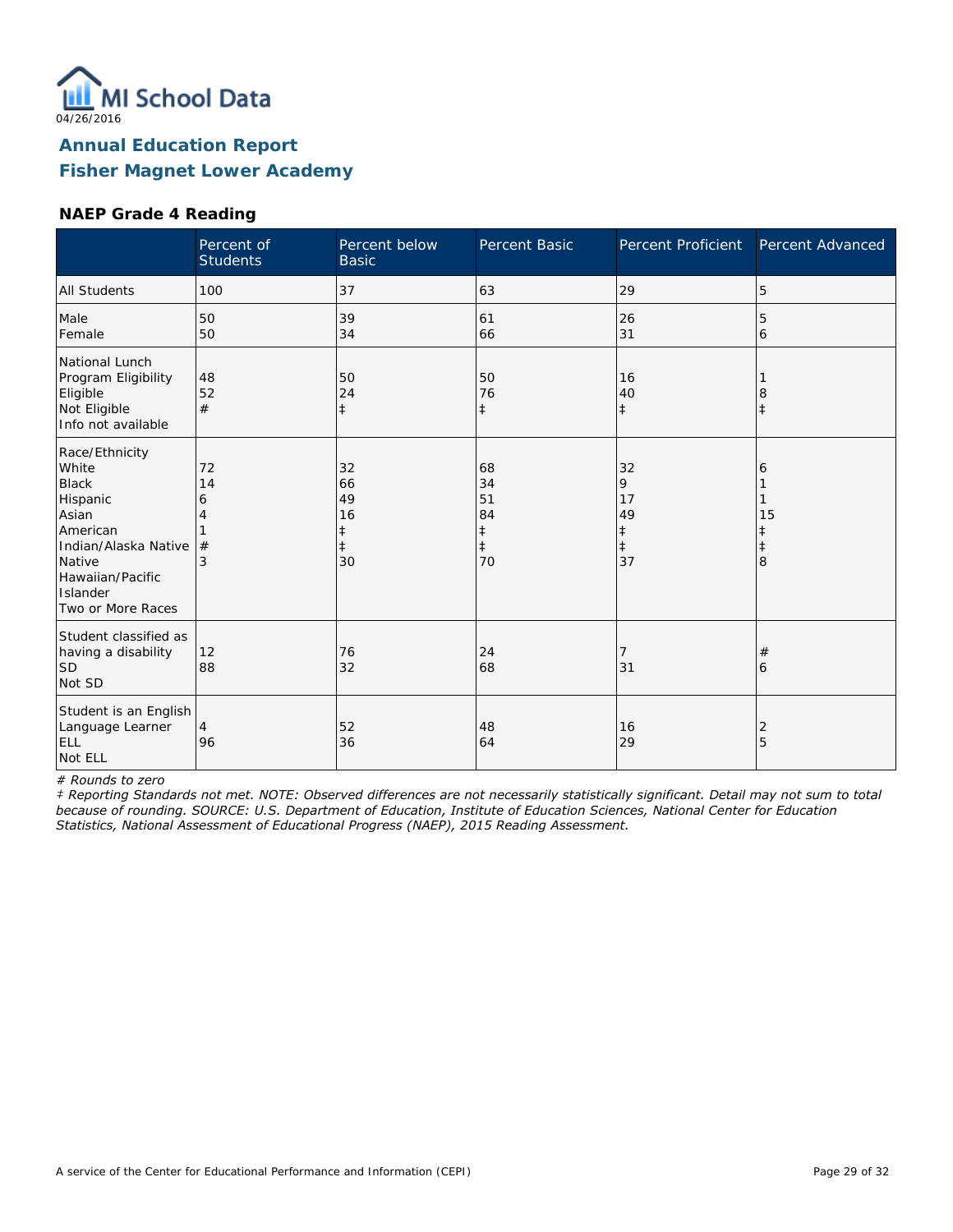

#### **NAEP Grade 4 Reading**

|                                                                                                                                                                 | Percent of<br><b>Students</b> | Percent below<br><b>Basic</b>                 | Percent Basic                                          | Percent Proficient                                    | Percent Advanced  |
|-----------------------------------------------------------------------------------------------------------------------------------------------------------------|-------------------------------|-----------------------------------------------|--------------------------------------------------------|-------------------------------------------------------|-------------------|
| <b>All Students</b>                                                                                                                                             | 100                           | 37                                            | 63                                                     | 29                                                    | 5                 |
| Male<br>Female                                                                                                                                                  | 50<br>50                      | 39<br>34                                      | 61<br>66                                               | 26<br>31                                              | 5<br>6            |
| National Lunch<br>Program Eligibility<br>Eligible<br>Not Eligible<br>Info not available                                                                         | 48<br>52<br>#                 | 50<br>24<br>$\ddagger$                        | 50<br>76<br>$\ddagger$                                 | 16<br>40<br>$\ddagger$                                | 8<br>$\ddagger$   |
| Race/Ethnicity<br>White<br><b>Black</b><br>Hispanic<br>Asian<br>American<br>Indian/Alaska Native<br>Native<br>Hawaiian/Pacific<br>Islander<br>Two or More Races | 72<br>14<br>6<br>4<br>#<br>3  | 32<br>66<br>49<br>16<br>ŧ<br>$\ddagger$<br>30 | 68<br>34<br>51<br>84<br>$\ddagger$<br>$\ddagger$<br>70 | 32<br>9<br>17<br>49<br>$\ddagger$<br>$\ddagger$<br>37 | 6<br>15<br>ŧ<br>8 |
| Student classified as<br>having a disability<br>lsd<br>Not SD                                                                                                   | 12<br>88                      | 76<br>32                                      | 24<br>68                                               | 31                                                    | #<br>6            |
| Student is an English<br>Language Learner<br>ELL<br>Not ELL                                                                                                     | $\overline{4}$<br>96          | 52<br>36                                      | 48<br>64                                               | 16<br>29                                              | 2<br>5            |

*# Rounds to zero*

*‡ Reporting Standards not met. NOTE: Observed differences are not necessarily statistically significant. Detail may not sum to total because of rounding. SOURCE: U.S. Department of Education, Institute of Education Sciences, National Center for Education Statistics, National Assessment of Educational Progress (NAEP), 2015 Reading Assessment.*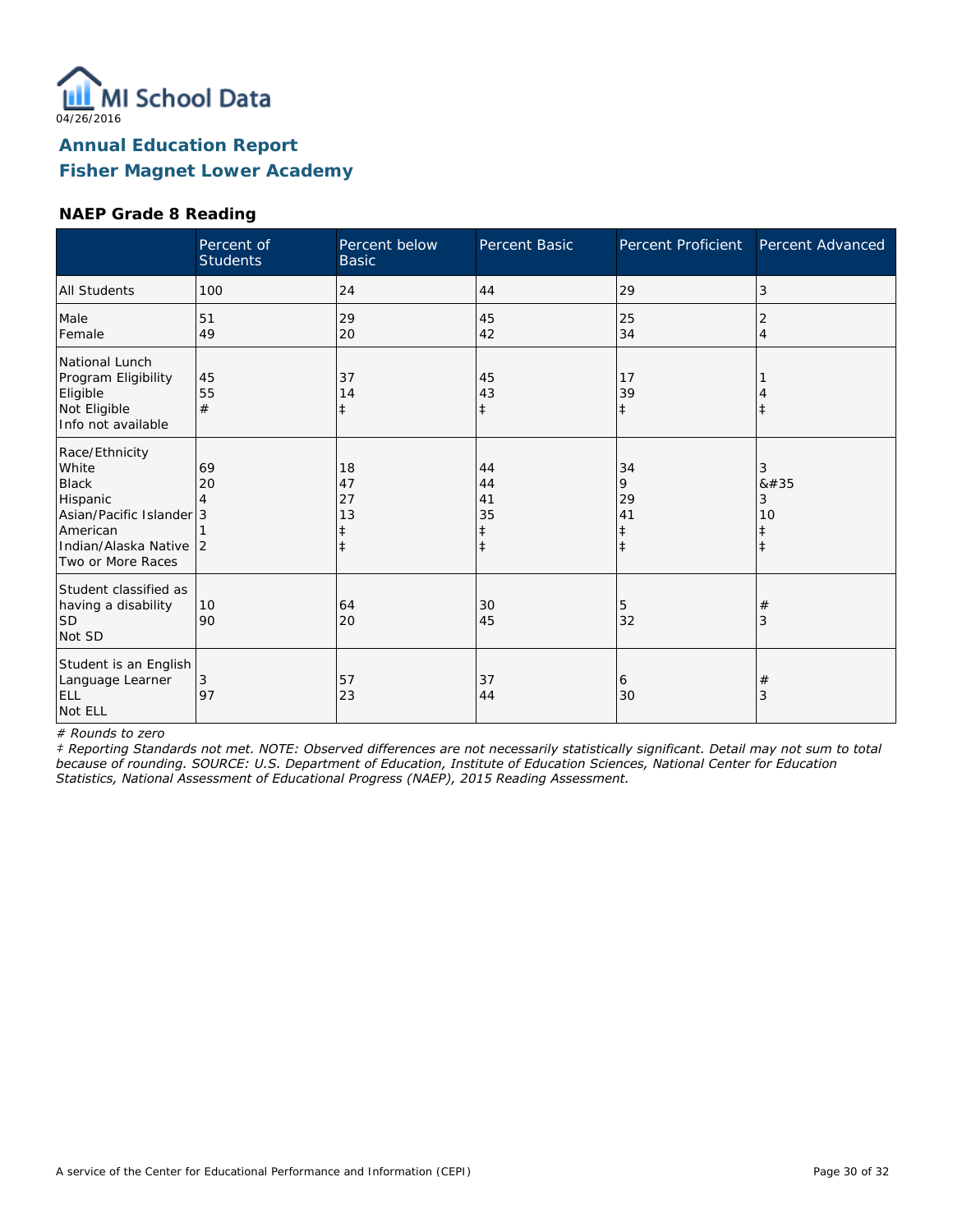

#### **NAEP Grade 8 Reading**

|                                                                                                                                            | Percent of<br><b>Students</b> | Percent below<br><b>Basic</b>    | Percent Basic                      | Percent Proficient                              | Percent Advanced                        |
|--------------------------------------------------------------------------------------------------------------------------------------------|-------------------------------|----------------------------------|------------------------------------|-------------------------------------------------|-----------------------------------------|
| <b>All Students</b>                                                                                                                        | 100                           | 24                               | 44                                 | 29                                              | 3                                       |
| Male<br>Female                                                                                                                             | 51<br>49                      | 29<br>20                         | 45<br>42                           | 25<br>34                                        | 2<br>$\overline{4}$                     |
| National Lunch<br>Program Eligibility<br>Eligible<br>Not Eligible<br>Info not available                                                    | 45<br>55<br>#                 | 37<br>14<br>$\ddagger$           | 45<br>43<br>$\ddagger$             | 17<br>39<br>$\ddagger$                          | $\ddagger$                              |
| Race/Ethnicity<br>White<br><b>Black</b><br>Hispanic<br>Asian/Pacific Islander 3<br>American<br>Indian/Alaska Native 2<br>Two or More Races | 69<br>20                      | 18<br>47<br>27<br>13<br>$^\ddag$ | 44<br>44<br>41<br>35<br>$\ddagger$ | 34<br>9<br>29<br>41<br>$\ddagger$<br>$\ddagger$ | 3<br>8#35<br>3<br>10<br>ŧ<br>$\ddagger$ |
| Student classified as<br>having a disability<br><b>SD</b><br>Not SD                                                                        | 10<br>90                      | 64<br>20                         | 30<br>45                           | 5<br>32                                         | $\#$<br>3                               |
| Student is an English<br>Language Learner<br><b>ELL</b><br>Not ELL                                                                         | 3<br>97                       | 57<br>23                         | 37<br>44                           | 6<br>30                                         | $\#$<br>3                               |

*# Rounds to zero*

*‡ Reporting Standards not met. NOTE: Observed differences are not necessarily statistically significant. Detail may not sum to total because of rounding. SOURCE: U.S. Department of Education, Institute of Education Sciences, National Center for Education Statistics, National Assessment of Educational Progress (NAEP), 2015 Reading Assessment.*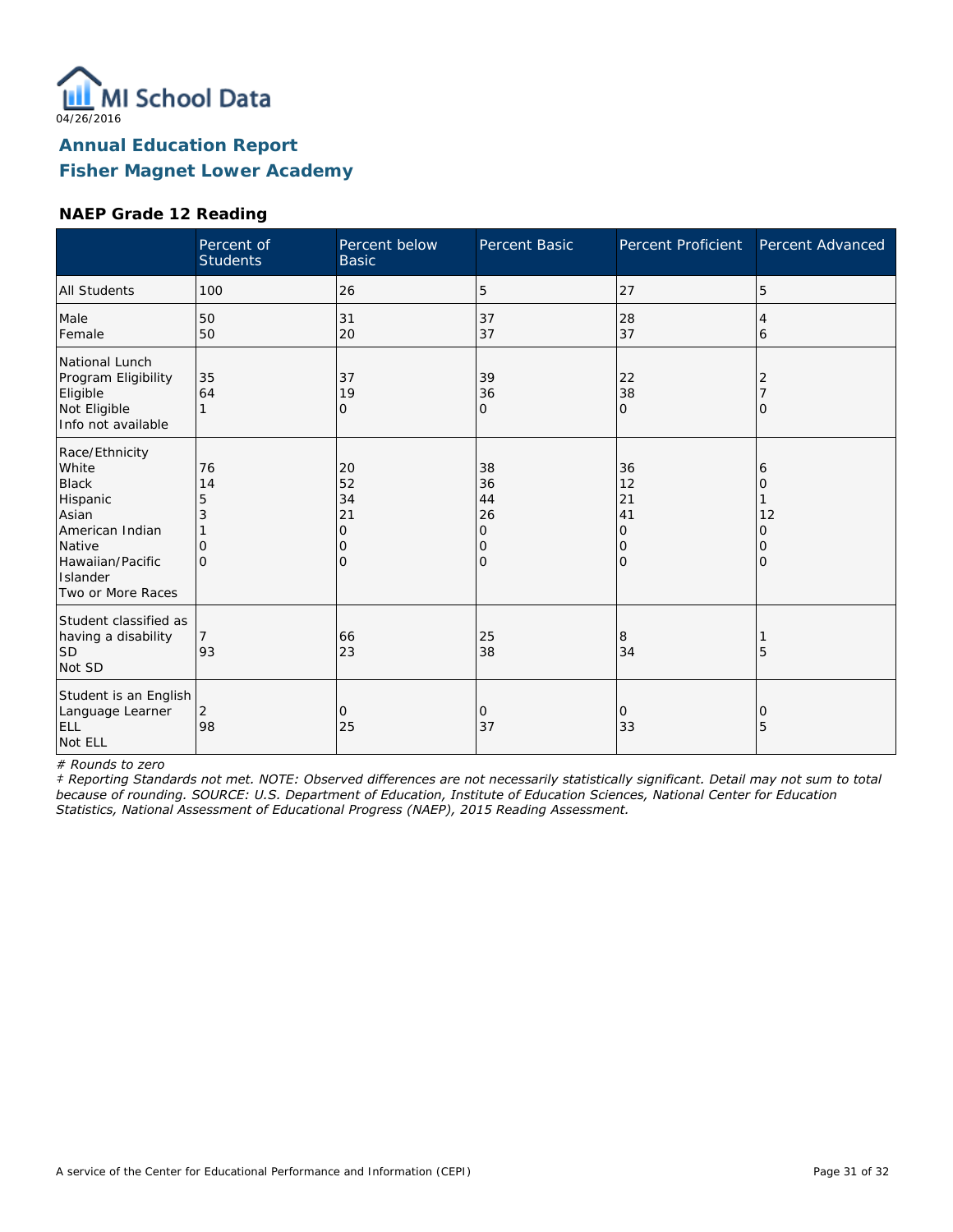

#### **NAEP Grade 12 Reading**

|                                                                                                                                                | Percent of<br><b>Students</b>       | Percent below<br><b>Basic</b>       | <b>Percent Basic</b>                             | Percent Proficient                               | Percent Advanced            |
|------------------------------------------------------------------------------------------------------------------------------------------------|-------------------------------------|-------------------------------------|--------------------------------------------------|--------------------------------------------------|-----------------------------|
| <b>All Students</b>                                                                                                                            | 100                                 | 26                                  | 5                                                | 27                                               | 5                           |
| Male<br>Female                                                                                                                                 | 50<br>50                            | 31<br>20                            | 37<br>37                                         | 28<br>37                                         | 4<br>6                      |
| National Lunch<br>Program Eligibility<br>Eligible<br>Not Eligible<br>Info not available                                                        | 35<br>64                            | 37<br>19<br>$\mathcal{O}$           | 39<br>36<br>0                                    | 22<br>38<br>$\Omega$                             | 2<br>$\Omega$               |
| Race/Ethnicity<br>White<br><b>Black</b><br>Hispanic<br>Asian<br>American Indian<br>Native<br>Hawaiian/Pacific<br>Islander<br>Two or More Races | 76<br>14<br>5<br>3<br>0<br>$\Omega$ | 20<br>52<br>34<br>21<br>0<br>0<br>Ω | 38<br>36<br>44<br>26<br>0<br>0<br>$\overline{O}$ | 36<br>12<br>21<br>41<br>0<br>$\circ$<br>$\Omega$ | 6<br>Ω<br>12<br>0<br>0<br>0 |
| Student classified as<br>having a disability<br><b>SD</b><br>Not SD                                                                            | 93                                  | 66<br>23                            | 25<br>38                                         | 8<br>34                                          | 5                           |
| Student is an English<br>Language Learner<br>ELL<br>Not ELL                                                                                    | 2<br>98                             | 0<br>25                             | 0<br>37                                          | 0<br>33                                          | 0<br>5                      |

*# Rounds to zero*

*‡ Reporting Standards not met. NOTE: Observed differences are not necessarily statistically significant. Detail may not sum to total because of rounding. SOURCE: U.S. Department of Education, Institute of Education Sciences, National Center for Education Statistics, National Assessment of Educational Progress (NAEP), 2015 Reading Assessment.*